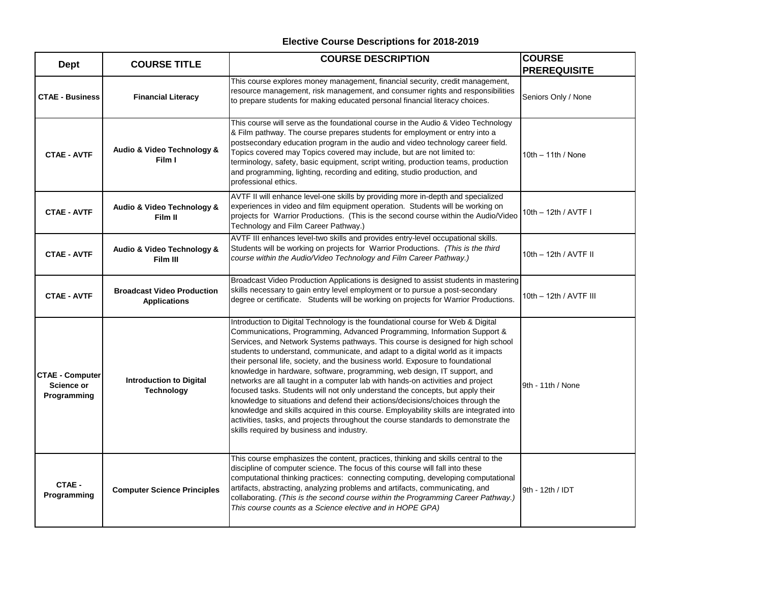| <b>Dept</b>                                         | <b>COURSE TITLE</b>                                      | <b>COURSE DESCRIPTION</b>                                                                                                                                                                                                                                                                                                                                                                                                                                                                                                                                                                                                                                                                                                                                                                                                                                                                                                                                                           | <b>COURSE</b><br><b>PREREQUISITE</b> |
|-----------------------------------------------------|----------------------------------------------------------|-------------------------------------------------------------------------------------------------------------------------------------------------------------------------------------------------------------------------------------------------------------------------------------------------------------------------------------------------------------------------------------------------------------------------------------------------------------------------------------------------------------------------------------------------------------------------------------------------------------------------------------------------------------------------------------------------------------------------------------------------------------------------------------------------------------------------------------------------------------------------------------------------------------------------------------------------------------------------------------|--------------------------------------|
| <b>CTAE - Business</b>                              | <b>Financial Literacy</b>                                | This course explores money management, financial security, credit management,<br>resource management, risk management, and consumer rights and responsibilities<br>to prepare students for making educated personal financial literacy choices.                                                                                                                                                                                                                                                                                                                                                                                                                                                                                                                                                                                                                                                                                                                                     | Seniors Only / None                  |
| <b>CTAE - AVTF</b>                                  | Audio & Video Technology &<br>Film I                     | This course will serve as the foundational course in the Audio & Video Technology<br>& Film pathway. The course prepares students for employment or entry into a<br>postsecondary education program in the audio and video technology career field.<br>Topics covered may Topics covered may include, but are not limited to:<br>terminology, safety, basic equipment, script writing, production teams, production<br>and programming, lighting, recording and editing, studio production, and<br>professional ethics.                                                                                                                                                                                                                                                                                                                                                                                                                                                             | $10th - 11th / None$                 |
| <b>CTAE - AVTF</b>                                  | Audio & Video Technology &<br>Film II                    | AVTF II will enhance level-one skills by providing more in-depth and specialized<br>experiences in video and film equipment operation. Students will be working on<br>projects for Warrior Productions. (This is the second course within the Audio/Video<br>Technology and Film Career Pathway.)                                                                                                                                                                                                                                                                                                                                                                                                                                                                                                                                                                                                                                                                                   | 10th – 12th / AVTF I                 |
| <b>CTAE - AVTF</b>                                  | Audio & Video Technology &<br>Film III                   | AVTF III enhances level-two skills and provides entry-level occupational skills.<br>Students will be working on projects for Warrior Productions. (This is the third<br>course within the Audio/Video Technology and Film Career Pathway.)                                                                                                                                                                                                                                                                                                                                                                                                                                                                                                                                                                                                                                                                                                                                          | 10th - 12th / AVTF II                |
| <b>CTAE - AVTF</b>                                  | <b>Broadcast Video Production</b><br><b>Applications</b> | Broadcast Video Production Applications is designed to assist students in mastering<br>skills necessary to gain entry level employment or to pursue a post-secondary<br>degree or certificate. Students will be working on projects for Warrior Productions.                                                                                                                                                                                                                                                                                                                                                                                                                                                                                                                                                                                                                                                                                                                        | 10th – 12th / AVTF III               |
| <b>CTAE - Computer</b><br>Science or<br>Programming | <b>Introduction to Digital</b><br><b>Technology</b>      | Introduction to Digital Technology is the foundational course for Web & Digital<br>Communications, Programming, Advanced Programming, Information Support &<br>Services, and Network Systems pathways. This course is designed for high school<br>students to understand, communicate, and adapt to a digital world as it impacts<br>their personal life, society, and the business world. Exposure to foundational<br>knowledge in hardware, software, programming, web design, IT support, and<br>networks are all taught in a computer lab with hands-on activities and project<br>focused tasks. Students will not only understand the concepts, but apply their<br>knowledge to situations and defend their actions/decisions/choices through the<br>knowledge and skills acquired in this course. Employability skills are integrated into<br>activities, tasks, and projects throughout the course standards to demonstrate the<br>skills required by business and industry. | 9th - 11th / None                    |
| CTAE -<br>Programming                               | <b>Computer Science Principles</b>                       | This course emphasizes the content, practices, thinking and skills central to the<br>discipline of computer science. The focus of this course will fall into these<br>computational thinking practices: connecting computing, developing computational<br>artifacts, abstracting, analyzing problems and artifacts, communicating, and<br>collaborating. (This is the second course within the Programming Career Pathway.)<br>This course counts as a Science elective and in HOPE GPA)                                                                                                                                                                                                                                                                                                                                                                                                                                                                                            | 9th - 12th / IDT                     |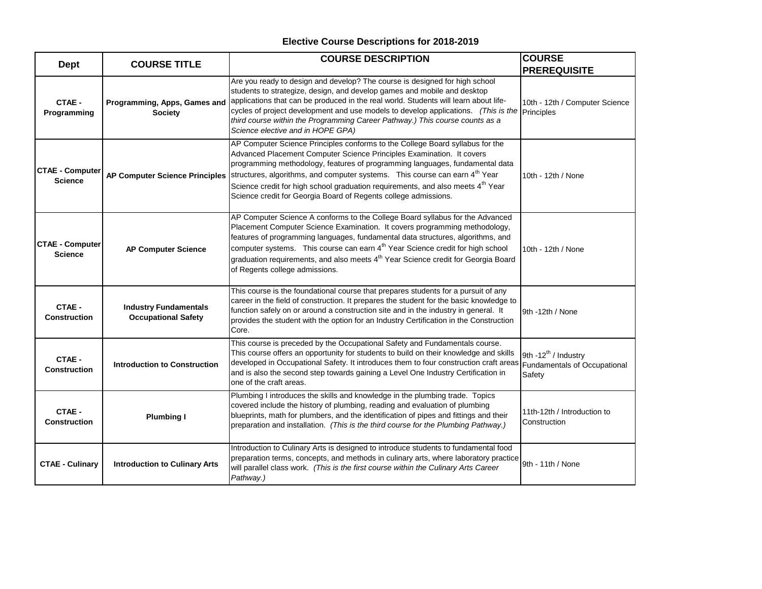| <b>Dept</b>                              | <b>COURSE TITLE</b>                                        | <b>COURSE DESCRIPTION</b>                                                                                                                                                                                                                                                                                                                                                                                                                                                                                                          | <b>COURSE</b><br><b>PREREQUISITE</b>        |
|------------------------------------------|------------------------------------------------------------|------------------------------------------------------------------------------------------------------------------------------------------------------------------------------------------------------------------------------------------------------------------------------------------------------------------------------------------------------------------------------------------------------------------------------------------------------------------------------------------------------------------------------------|---------------------------------------------|
| CTAE -<br>Programming                    | Programming, Apps, Games and<br><b>Society</b>             | Are you ready to design and develop? The course is designed for high school<br>students to strategize, design, and develop games and mobile and desktop<br>applications that can be produced in the real world. Students will learn about life-<br>cycles of project development and use models to develop applications. (This is the principles<br>third course within the Programming Career Pathway.) This course counts as a<br>Science elective and in HOPE GPA)                                                              | 10th - 12th / Computer Science              |
| <b>CTAE - Computer</b><br><b>Science</b> |                                                            | AP Computer Science Principles conforms to the College Board syllabus for the<br>Advanced Placement Computer Science Principles Examination. It covers<br>programming methodology, features of programming languages, fundamental data<br>AP Computer Science Principles Structures, algorithms, and computer systems. This course can earn 4 <sup>th</sup> Year<br>Science credit for high school graduation requirements, and also meets 4 <sup>th</sup> Year<br>Science credit for Georgia Board of Regents college admissions. | 10th - 12th / None                          |
| <b>CTAE - Computer</b><br><b>Science</b> | <b>AP Computer Science</b>                                 | AP Computer Science A conforms to the College Board syllabus for the Advanced<br>Placement Computer Science Examination. It covers programming methodology,<br>features of programming languages, fundamental data structures, algorithms, and<br>computer systems. This course can earn 4 <sup>th</sup> Year Science credit for high school<br>graduation requirements, and also meets 4 <sup>th</sup> Year Science credit for Georgia Board<br>of Regents college admissions.                                                    | 10th - 12th / None                          |
| CTAE -<br><b>Construction</b>            | <b>Industry Fundamentals</b><br><b>Occupational Safety</b> | This course is the foundational course that prepares students for a pursuit of any<br>career in the field of construction. It prepares the student for the basic knowledge to<br>function safely on or around a construction site and in the industry in general. It<br>provides the student with the option for an Industry Certification in the Construction<br>Core.                                                                                                                                                            | 9th -12th / None                            |
| CTAE -<br><b>Construction</b>            | <b>Introduction to Construction</b>                        | This course is preceded by the Occupational Safety and Fundamentals course.<br>This course offers an opportunity for students to build on their knowledge and skills<br>developed in Occupational Safety. It introduces them to four construction craft areas Fundamentals of Occupational<br>and is also the second step towards gaining a Level One Industry Certification in<br>one of the craft areas.                                                                                                                         | 9th -12 <sup>th</sup> / Industry<br>Safety  |
| CTAE -<br><b>Construction</b>            | <b>Plumbing I</b>                                          | Plumbing I introduces the skills and knowledge in the plumbing trade. Topics<br>covered include the history of plumbing, reading and evaluation of plumbing<br>blueprints, math for plumbers, and the identification of pipes and fittings and their<br>preparation and installation. (This is the third course for the Plumbing Pathway.)                                                                                                                                                                                         | 11th-12th / Introduction to<br>Construction |
| <b>CTAE - Culinary</b>                   | <b>Introduction to Culinary Arts</b>                       | Introduction to Culinary Arts is designed to introduce students to fundamental food<br>preparation terms, concepts, and methods in culinary arts, where laboratory practice<br>will parallel class work. (This is the first course within the Culinary Arts Career<br>Pathway.)                                                                                                                                                                                                                                                    | 9th - 11th / None                           |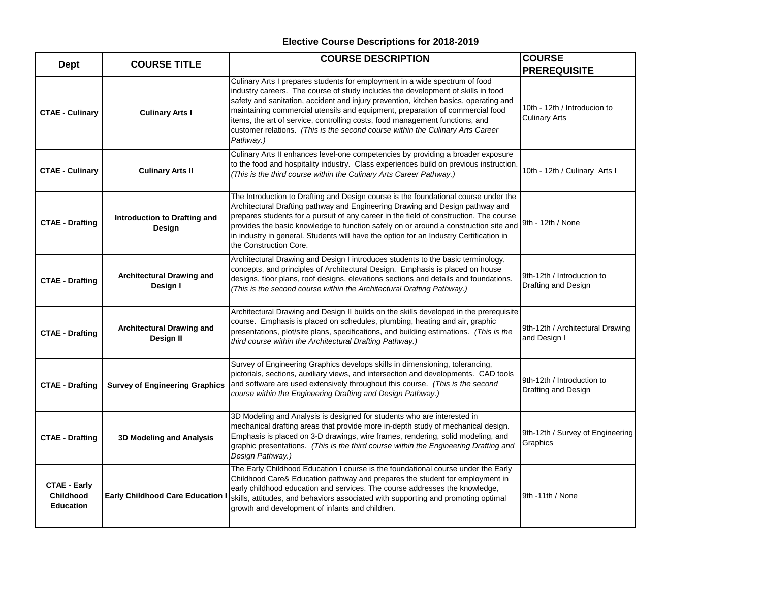| <b>Dept</b>                                                 | <b>COURSE TITLE</b>                           | <b>COURSE DESCRIPTION</b>                                                                                                                                                                                                                                                                                                                                                                                                                                                                                               | <b>COURSE</b><br><b>PREREQUISITE</b>                 |
|-------------------------------------------------------------|-----------------------------------------------|-------------------------------------------------------------------------------------------------------------------------------------------------------------------------------------------------------------------------------------------------------------------------------------------------------------------------------------------------------------------------------------------------------------------------------------------------------------------------------------------------------------------------|------------------------------------------------------|
| <b>CTAE - Culinary</b>                                      | <b>Culinary Arts I</b>                        | Culinary Arts I prepares students for employment in a wide spectrum of food<br>industry careers. The course of study includes the development of skills in food<br>safety and sanitation, accident and injury prevention, kitchen basics, operating and<br>maintaining commercial utensils and equipment, preparation of commercial food<br>items, the art of service, controlling costs, food management functions, and<br>customer relations. (This is the second course within the Culinary Arts Career<br>Pathway.) | 10th - 12th / Introducion to<br><b>Culinary Arts</b> |
| <b>CTAE - Culinary</b>                                      | <b>Culinary Arts II</b>                       | Culinary Arts II enhances level-one competencies by providing a broader exposure<br>to the food and hospitality industry. Class experiences build on previous instruction.<br>(This is the third course within the Culinary Arts Career Pathway.)                                                                                                                                                                                                                                                                       | 10th - 12th / Culinary Arts I                        |
| <b>CTAE - Drafting</b>                                      | Introduction to Drafting and<br>Design        | The Introduction to Drafting and Design course is the foundational course under the<br>Architectural Drafting pathway and Engineering Drawing and Design pathway and<br>prepares students for a pursuit of any career in the field of construction. The course<br>provides the basic knowledge to function safely on or around a construction site and  9th - 12th / None<br>in industry in general. Students will have the option for an Industry Certification in<br>the Construction Core.                           |                                                      |
| <b>CTAE - Drafting</b>                                      | <b>Architectural Drawing and</b><br>Design I  | Architectural Drawing and Design I introduces students to the basic terminology,<br>concepts, and principles of Architectural Design. Emphasis is placed on house<br>designs, floor plans, roof designs, elevations sections and details and foundations.<br>(This is the second course within the Architectural Drafting Pathway.)                                                                                                                                                                                     | 9th-12th / Introduction to<br>Drafting and Design    |
| <b>CTAE - Drafting</b>                                      | <b>Architectural Drawing and</b><br>Design II | Architectural Drawing and Design II builds on the skills developed in the prerequisite<br>course. Emphasis is placed on schedules, plumbing, heating and air, graphic<br>presentations, plot/site plans, specifications, and building estimations. (This is the<br>third course within the Architectural Drafting Pathway.)                                                                                                                                                                                             | 9th-12th / Architectural Drawing<br>and Design I     |
| <b>CTAE - Drafting</b>                                      | <b>Survey of Engineering Graphics</b>         | Survey of Engineering Graphics develops skills in dimensioning, tolerancing,<br>pictorials, sections, auxiliary views, and intersection and developments. CAD tools<br>and software are used extensively throughout this course. (This is the second<br>course within the Engineering Drafting and Design Pathway.)                                                                                                                                                                                                     | 9th-12th / Introduction to<br>Drafting and Design    |
| <b>CTAE - Drafting</b>                                      | 3D Modeling and Analysis                      | 3D Modeling and Analysis is designed for students who are interested in<br>mechanical drafting areas that provide more in-depth study of mechanical design.<br>Emphasis is placed on 3-D drawings, wire frames, rendering, solid modeling, and<br>graphic presentations. (This is the third course within the Engineering Drafting and<br>Design Pathway.)                                                                                                                                                              | 9th-12th / Survey of Engineering<br>Graphics         |
| <b>CTAE - Early</b><br><b>Childhood</b><br><b>Education</b> | <b>Early Childhood Care Education</b>         | The Early Childhood Education I course is the foundational course under the Early<br>Childhood Care& Education pathway and prepares the student for employment in<br>early childhood education and services. The course addresses the knowledge,<br>skills, attitudes, and behaviors associated with supporting and promoting optimal<br>growth and development of infants and children.                                                                                                                                | 9th -11th / None                                     |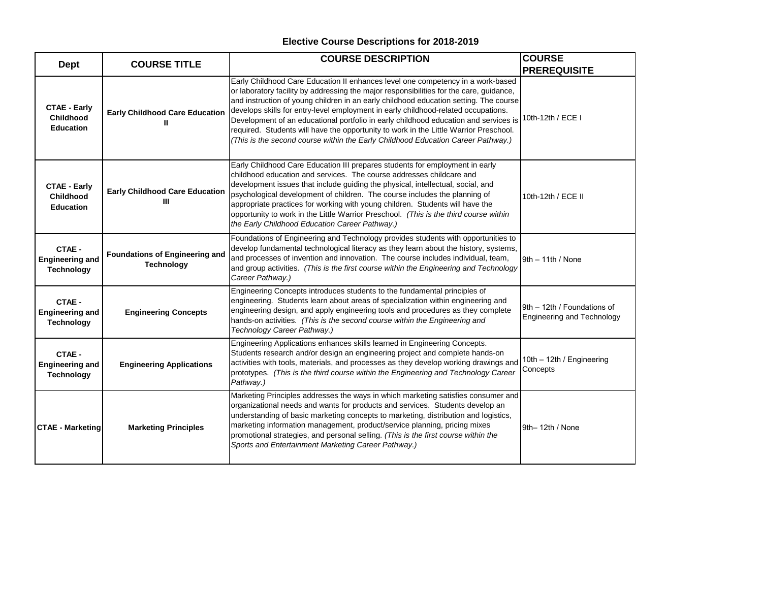| <b>Dept</b>                                                 | <b>COURSE TITLE</b>                                        | <b>COURSE DESCRIPTION</b>                                                                                                                                                                                                                                                                                                                                                                                                                                                                                                                                                                                                      | <b>COURSE</b><br><b>PREREQUISITE</b>                             |
|-------------------------------------------------------------|------------------------------------------------------------|--------------------------------------------------------------------------------------------------------------------------------------------------------------------------------------------------------------------------------------------------------------------------------------------------------------------------------------------------------------------------------------------------------------------------------------------------------------------------------------------------------------------------------------------------------------------------------------------------------------------------------|------------------------------------------------------------------|
| <b>CTAE - Early</b><br><b>Childhood</b><br><b>Education</b> | <b>Early Childhood Care Education</b><br>Ш                 | Early Childhood Care Education II enhances level one competency in a work-based<br>or laboratory facility by addressing the major responsibilities for the care, guidance,<br>and instruction of young children in an early childhood education setting. The course<br>develops skills for entry-level employment in early childhood-related occupations.<br>Development of an educational portfolio in early childhood education and services is<br>required. Students will have the opportunity to work in the Little Warrior Preschool.<br>(This is the second course within the Early Childhood Education Career Pathway.) | 10th-12th / ECE I                                                |
| <b>CTAE - Early</b><br>Childhood<br><b>Education</b>        | <b>Early Childhood Care Education</b><br>Ш                 | Early Childhood Care Education III prepares students for employment in early<br>childhood education and services. The course addresses childcare and<br>development issues that include guiding the physical, intellectual, social, and<br>psychological development of children. The course includes the planning of<br>appropriate practices for working with young children. Students will have the<br>opportunity to work in the Little Warrior Preschool. (This is the third course within<br>the Early Childhood Education Career Pathway.)                                                                              | 10th-12th / ECE II                                               |
| CTAE -<br><b>Engineering and</b><br><b>Technology</b>       | <b>Foundations of Engineering and</b><br><b>Technology</b> | Foundations of Engineering and Technology provides students with opportunities to<br>develop fundamental technological literacy as they learn about the history, systems,<br>and processes of invention and innovation. The course includes individual, team,<br>and group activities. (This is the first course within the Engineering and Technology<br>Career Pathway.)                                                                                                                                                                                                                                                     | $9th - 11th / None$                                              |
| CTAE -<br><b>Engineering and</b><br><b>Technology</b>       | <b>Engineering Concepts</b>                                | Engineering Concepts introduces students to the fundamental principles of<br>engineering. Students learn about areas of specialization within engineering and<br>engineering design, and apply engineering tools and procedures as they complete<br>hands-on activities. (This is the second course within the Engineering and<br>Technology Career Pathway.)                                                                                                                                                                                                                                                                  | 9th - 12th / Foundations of<br><b>Engineering and Technology</b> |
| CTAE -<br><b>Engineering and</b><br><b>Technology</b>       | <b>Engineering Applications</b>                            | Engineering Applications enhances skills learned in Engineering Concepts.<br>Students research and/or design an engineering project and complete hands-on<br>activities with tools, materials, and processes as they develop working drawings and<br>prototypes. (This is the third course within the Engineering and Technology Career<br>Pathway.)                                                                                                                                                                                                                                                                           | 10th - 12th / Engineering<br>Concepts                            |
| <b>CTAE - Marketing</b>                                     | <b>Marketing Principles</b>                                | Marketing Principles addresses the ways in which marketing satisfies consumer and<br>organizational needs and wants for products and services. Students develop an<br>understanding of basic marketing concepts to marketing, distribution and logistics,<br>marketing information management, product/service planning, pricing mixes<br>promotional strategies, and personal selling. (This is the first course within the<br>Sports and Entertainment Marketing Career Pathway.)                                                                                                                                            | 9th-12th / None                                                  |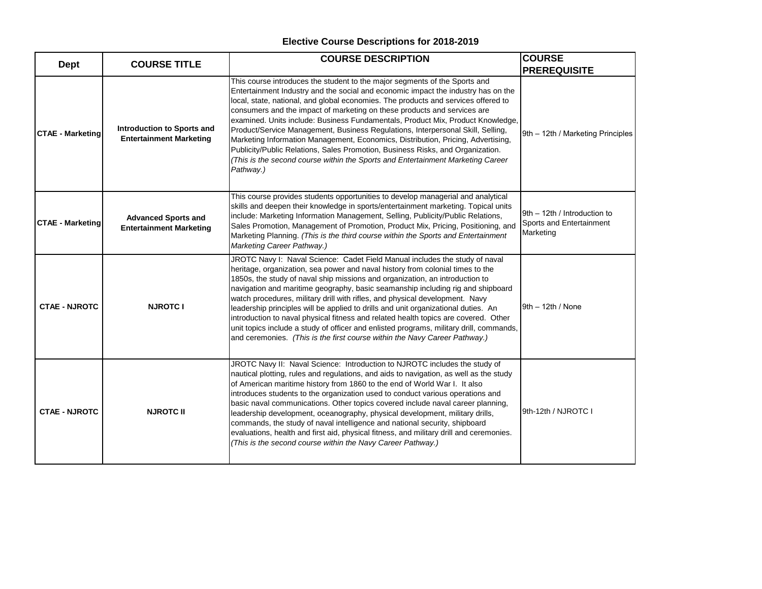| <b>Dept</b>             | <b>COURSE TITLE</b>                                          | <b>COURSE DESCRIPTION</b>                                                                                                                                                                                                                                                                                                                                                                                                                                                                                                                                                                                                                                                                                                                                                     | <b>COURSE</b>                                                         |
|-------------------------|--------------------------------------------------------------|-------------------------------------------------------------------------------------------------------------------------------------------------------------------------------------------------------------------------------------------------------------------------------------------------------------------------------------------------------------------------------------------------------------------------------------------------------------------------------------------------------------------------------------------------------------------------------------------------------------------------------------------------------------------------------------------------------------------------------------------------------------------------------|-----------------------------------------------------------------------|
|                         |                                                              |                                                                                                                                                                                                                                                                                                                                                                                                                                                                                                                                                                                                                                                                                                                                                                               | <b>PREREQUISITE</b>                                                   |
| <b>CTAE - Marketing</b> | Introduction to Sports and<br><b>Entertainment Marketing</b> | This course introduces the student to the major segments of the Sports and<br>Entertainment Industry and the social and economic impact the industry has on the<br>local, state, national, and global economies. The products and services offered to<br>consumers and the impact of marketing on these products and services are<br>examined. Units include: Business Fundamentals, Product Mix, Product Knowledge,<br>Product/Service Management, Business Regulations, Interpersonal Skill, Selling,<br>Marketing Information Management, Economics, Distribution, Pricing, Advertising,<br>Publicity/Public Relations, Sales Promotion, Business Risks, and Organization.<br>(This is the second course within the Sports and Entertainment Marketing Career<br>Pathway.) | 9th - 12th / Marketing Principles                                     |
| <b>CTAE - Marketing</b> | <b>Advanced Sports and</b><br><b>Entertainment Marketing</b> | This course provides students opportunities to develop managerial and analytical<br>skills and deepen their knowledge in sports/entertainment marketing. Topical units<br>include: Marketing Information Management, Selling, Publicity/Public Relations,<br>Sales Promotion, Management of Promotion, Product Mix, Pricing, Positioning, and<br>Marketing Planning. (This is the third course within the Sports and Entertainment<br>Marketing Career Pathway.)                                                                                                                                                                                                                                                                                                              | 9th - 12th / Introduction to<br>Sports and Entertainment<br>Marketing |
| <b>CTAE - NJROTC</b>    | <b>NJROTC I</b>                                              | JROTC Navy I: Naval Science: Cadet Field Manual includes the study of naval<br>heritage, organization, sea power and naval history from colonial times to the<br>1850s, the study of naval ship missions and organization, an introduction to<br>navigation and maritime geography, basic seamanship including rig and shipboard<br>watch procedures, military drill with rifles, and physical development. Navy<br>leadership principles will be applied to drills and unit organizational duties. An<br>introduction to naval physical fitness and related health topics are covered. Other<br>unit topics include a study of officer and enlisted programs, military drill, commands,<br>and ceremonies. (This is the first course within the Navy Career Pathway.)        | $9th - 12th / None$                                                   |
| <b>CTAE - NJROTC</b>    | <b>NJROTC II</b>                                             | JROTC Navy II: Naval Science: Introduction to NJROTC includes the study of<br>nautical plotting, rules and regulations, and aids to navigation, as well as the study<br>of American maritime history from 1860 to the end of World War I. It also<br>introduces students to the organization used to conduct various operations and<br>basic naval communications. Other topics covered include naval career planning,<br>leadership development, oceanography, physical development, military drills,<br>commands, the study of naval intelligence and national security, shipboard<br>evaluations, health and first aid, physical fitness, and military drill and ceremonies.<br>(This is the second course within the Navy Career Pathway.)                                | 9th-12th / NJROTC I                                                   |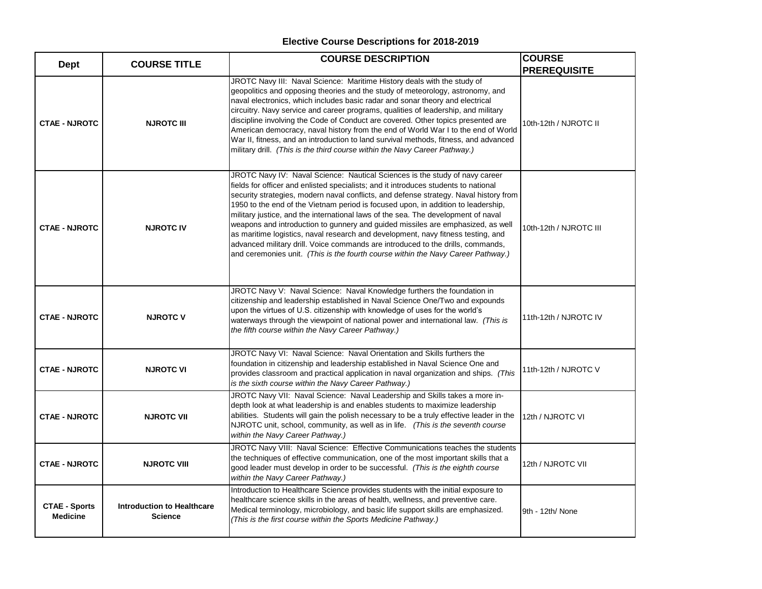| <b>Dept</b>                             | <b>COURSE TITLE</b>                                 | <b>COURSE DESCRIPTION</b>                                                                                                                                                                                                                                                                                                                                                                                                                                                                                                                                                                                                                                                                                                                                                           | <b>COURSE</b><br><b>PREREQUISITE</b> |
|-----------------------------------------|-----------------------------------------------------|-------------------------------------------------------------------------------------------------------------------------------------------------------------------------------------------------------------------------------------------------------------------------------------------------------------------------------------------------------------------------------------------------------------------------------------------------------------------------------------------------------------------------------------------------------------------------------------------------------------------------------------------------------------------------------------------------------------------------------------------------------------------------------------|--------------------------------------|
| <b>CTAE - NJROTC</b>                    | <b>NJROTC III</b>                                   | JROTC Navy III: Naval Science: Maritime History deals with the study of<br>geopolitics and opposing theories and the study of meteorology, astronomy, and<br>naval electronics, which includes basic radar and sonar theory and electrical<br>circuitry. Navy service and career programs, qualities of leadership, and military<br>discipline involving the Code of Conduct are covered. Other topics presented are<br>American democracy, naval history from the end of World War I to the end of World<br>War II, fitness, and an introduction to land survival methods, fitness, and advanced<br>military drill. (This is the third course within the Navy Career Pathway.)                                                                                                     | 10th-12th / NJROTC II                |
| <b>CTAE - NJROTC</b>                    | <b>NJROTC IV</b>                                    | JROTC Navy IV: Naval Science: Nautical Sciences is the study of navy career<br>fields for officer and enlisted specialists; and it introduces students to national<br>security strategies, modern naval conflicts, and defense strategy. Naval history from<br>1950 to the end of the Vietnam period is focused upon, in addition to leadership,<br>military justice, and the international laws of the sea. The development of naval<br>weapons and introduction to gunnery and guided missiles are emphasized, as well<br>as maritime logistics, naval research and development, navy fitness testing, and<br>advanced military drill. Voice commands are introduced to the drills, commands,<br>and ceremonies unit. (This is the fourth course within the Navy Career Pathway.) | 10th-12th / NJROTC III               |
| <b>CTAE - NJROTC</b>                    | <b>NJROTC V</b>                                     | JROTC Navy V: Naval Science: Naval Knowledge furthers the foundation in<br>citizenship and leadership established in Naval Science One/Two and expounds<br>upon the virtues of U.S. citizenship with knowledge of uses for the world's<br>waterways through the viewpoint of national power and international law. (This is<br>the fifth course within the Navy Career Pathway.)                                                                                                                                                                                                                                                                                                                                                                                                    | 11th-12th / NJROTC IV                |
| <b>CTAE - NJROTC</b>                    | <b>NJROTC VI</b>                                    | JROTC Navy VI: Naval Science: Naval Orientation and Skills furthers the<br>foundation in citizenship and leadership established in Naval Science One and<br>provides classroom and practical application in naval organization and ships. (This<br>is the sixth course within the Navy Career Pathway.)                                                                                                                                                                                                                                                                                                                                                                                                                                                                             | 11th-12th / NJROTC V                 |
| <b>CTAE - NJROTC</b>                    | <b>NJROTC VII</b>                                   | JROTC Navy VII: Naval Science: Naval Leadership and Skills takes a more in-<br>depth look at what leadership is and enables students to maximize leadership<br>abilities. Students will gain the polish necessary to be a truly effective leader in the<br>NJROTC unit, school, community, as well as in life. (This is the seventh course<br>within the Navy Career Pathway.)                                                                                                                                                                                                                                                                                                                                                                                                      | 12th / NJROTC VI                     |
| <b>CTAE - NJROTC</b>                    | <b>NJROTC VIII</b>                                  | JROTC Navy VIII: Naval Science: Effective Communications teaches the students<br>the techniques of effective communication, one of the most important skills that a<br>good leader must develop in order to be successful. (This is the eighth course<br>within the Navy Career Pathway.)                                                                                                                                                                                                                                                                                                                                                                                                                                                                                           | 12th / NJROTC VII                    |
| <b>CTAE - Sports</b><br><b>Medicine</b> | <b>Introduction to Healthcare</b><br><b>Science</b> | Introduction to Healthcare Science provides students with the initial exposure to<br>healthcare science skills in the areas of health, wellness, and preventive care.<br>Medical terminology, microbiology, and basic life support skills are emphasized.<br>(This is the first course within the Sports Medicine Pathway.)                                                                                                                                                                                                                                                                                                                                                                                                                                                         | 9th - 12th/ None                     |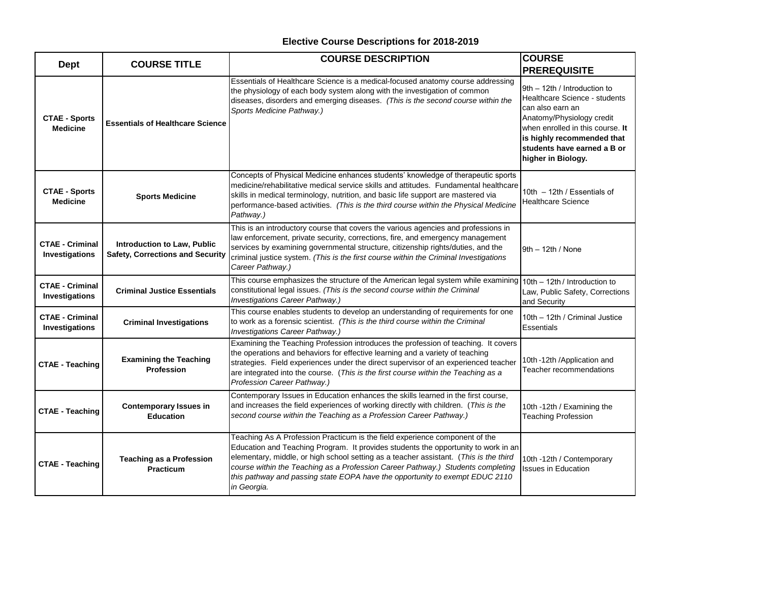| <b>Dept</b>                              | <b>COURSE TITLE</b>                                                    | <b>COURSE DESCRIPTION</b>                                                                                                                                                                                                                                                                                                                                                                                                                    | <b>COURSE</b><br><b>PREREQUISITE</b>                                                                                                                                                                                                  |
|------------------------------------------|------------------------------------------------------------------------|----------------------------------------------------------------------------------------------------------------------------------------------------------------------------------------------------------------------------------------------------------------------------------------------------------------------------------------------------------------------------------------------------------------------------------------------|---------------------------------------------------------------------------------------------------------------------------------------------------------------------------------------------------------------------------------------|
| <b>CTAE - Sports</b><br><b>Medicine</b>  | <b>Essentials of Healthcare Science</b>                                | Essentials of Healthcare Science is a medical-focused anatomy course addressing<br>the physiology of each body system along with the investigation of common<br>diseases, disorders and emerging diseases. (This is the second course within the<br>Sports Medicine Pathway.)                                                                                                                                                                | 9th - 12th / Introduction to<br>Healthcare Science - students<br>can also earn an<br>Anatomy/Physiology credit<br>when enrolled in this course. It<br>is highly recommended that<br>students have earned a B or<br>higher in Biology. |
| <b>CTAE - Sports</b><br><b>Medicine</b>  | <b>Sports Medicine</b>                                                 | Concepts of Physical Medicine enhances students' knowledge of therapeutic sports<br>medicine/rehabilitative medical service skills and attitudes. Fundamental healthcare<br>skills in medical terminology, nutrition, and basic life support are mastered via<br>performance-based activities. (This is the third course within the Physical Medicine<br>Pathway.)                                                                           | 10th - 12th / Essentials of<br><b>Healthcare Science</b>                                                                                                                                                                              |
| <b>CTAE - Criminal</b><br>Investigations | Introduction to Law, Public<br><b>Safety, Corrections and Security</b> | This is an introductory course that covers the various agencies and professions in<br>law enforcement, private security, corrections, fire, and emergency management<br>services by examining governmental structure, citizenship rights/duties, and the<br>criminal justice system. (This is the first course within the Criminal Investigations<br>Career Pathway.)                                                                        | $9th - 12th / None$                                                                                                                                                                                                                   |
| <b>CTAE - Criminal</b><br>Investigations | <b>Criminal Justice Essentials</b>                                     | This course emphasizes the structure of the American legal system while examining 10th - 12th / Introduction to<br>constitutional legal issues. (This is the second course within the Criminal<br>Investigations Career Pathway.)                                                                                                                                                                                                            | Law, Public Safety, Corrections<br>and Security                                                                                                                                                                                       |
| <b>CTAE - Criminal</b><br>Investigations | <b>Criminal Investigations</b>                                         | This course enables students to develop an understanding of requirements for one<br>to work as a forensic scientist. (This is the third course within the Criminal<br>Investigations Career Pathway.)                                                                                                                                                                                                                                        | 10th - 12th / Criminal Justice<br>Essentials                                                                                                                                                                                          |
| <b>CTAE - Teaching</b>                   | <b>Examining the Teaching</b><br>Profession                            | Examining the Teaching Profession introduces the profession of teaching. It covers<br>the operations and behaviors for effective learning and a variety of teaching<br>strategies. Field experiences under the direct supervisor of an experienced teacher<br>are integrated into the course. (This is the first course within the Teaching as a<br>Profession Career Pathway.)                                                              | 10th -12th /Application and<br>Teacher recommendations                                                                                                                                                                                |
| <b>CTAE - Teaching</b>                   | <b>Contemporary Issues in</b><br><b>Education</b>                      | Contemporary Issues in Education enhances the skills learned in the first course,<br>and increases the field experiences of working directly with children. (This is the<br>second course within the Teaching as a Profession Career Pathway.)                                                                                                                                                                                               | 10th -12th / Examining the<br><b>Teaching Profession</b>                                                                                                                                                                              |
| <b>CTAE - Teaching</b>                   | <b>Teaching as a Profession</b><br><b>Practicum</b>                    | Teaching As A Profession Practicum is the field experience component of the<br>Education and Teaching Program. It provides students the opportunity to work in an<br>elementary, middle, or high school setting as a teacher assistant. (This is the third<br>course within the Teaching as a Profession Career Pathway.) Students completing<br>this pathway and passing state EOPA have the opportunity to exempt EDUC 2110<br>in Georgia. | 10th -12th / Contemporary<br><b>Issues in Education</b>                                                                                                                                                                               |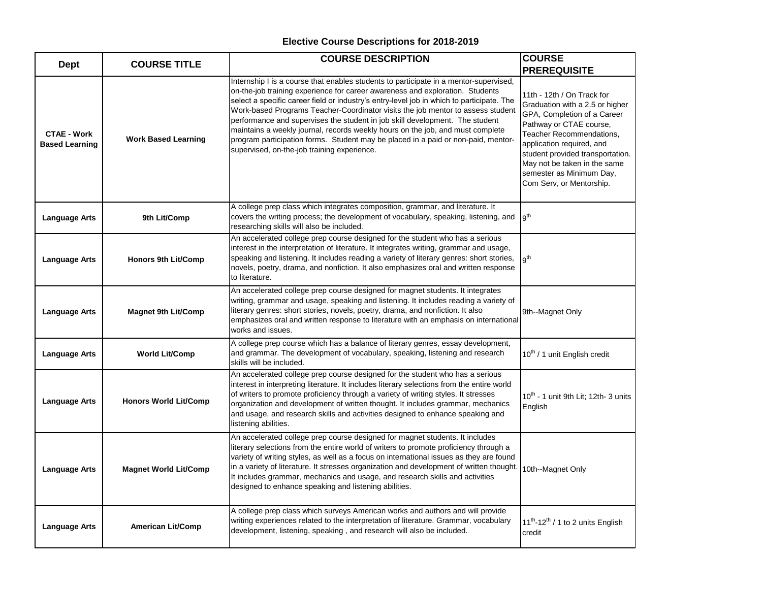| <b>Dept</b>                                 | <b>COURSE TITLE</b>          | <b>COURSE DESCRIPTION</b>                                                                                                                                                                                                                                                                                                                                                                                                                                                                                                                                                                                                                                    | <b>COURSE</b>                                                                                                                                                                                                                                                                                                                       |
|---------------------------------------------|------------------------------|--------------------------------------------------------------------------------------------------------------------------------------------------------------------------------------------------------------------------------------------------------------------------------------------------------------------------------------------------------------------------------------------------------------------------------------------------------------------------------------------------------------------------------------------------------------------------------------------------------------------------------------------------------------|-------------------------------------------------------------------------------------------------------------------------------------------------------------------------------------------------------------------------------------------------------------------------------------------------------------------------------------|
| <b>CTAE - Work</b><br><b>Based Learning</b> | <b>Work Based Learning</b>   | Internship I is a course that enables students to participate in a mentor-supervised,<br>on-the-job training experience for career awareness and exploration. Students<br>select a specific career field or industry's entry-level job in which to participate. The<br>Work-based Programs Teacher-Coordinator visits the job mentor to assess student<br>performance and supervises the student in job skill development. The student<br>maintains a weekly journal, records weekly hours on the job, and must complete<br>program participation forms. Student may be placed in a paid or non-paid, mentor-<br>supervised, on-the-job training experience. | <b>PREREQUISITE</b><br>11th - 12th / On Track for<br>Graduation with a 2.5 or higher<br>GPA, Completion of a Career<br>Pathway or CTAE course,<br>Teacher Recommendations,<br>application required, and<br>student provided transportation.<br>May not be taken in the same<br>semester as Minimum Day,<br>Com Serv, or Mentorship. |
| <b>Language Arts</b>                        | 9th Lit/Comp                 | A college prep class which integrates composition, grammar, and literature. It<br>covers the writing process; the development of vocabulary, speaking, listening, and<br>researching skills will also be included.                                                                                                                                                                                                                                                                                                                                                                                                                                           | l q <sup>th</sup>                                                                                                                                                                                                                                                                                                                   |
| Language Arts                               | <b>Honors 9th Lit/Comp</b>   | An accelerated college prep course designed for the student who has a serious<br>interest in the interpretation of literature. It integrates writing, grammar and usage,<br>speaking and listening. It includes reading a variety of literary genres: short stories,<br>novels, poetry, drama, and nonfiction. It also emphasizes oral and written response<br>to literature.                                                                                                                                                                                                                                                                                | lath                                                                                                                                                                                                                                                                                                                                |
| <b>Language Arts</b>                        | <b>Magnet 9th Lit/Comp</b>   | An accelerated college prep course designed for magnet students. It integrates<br>writing, grammar and usage, speaking and listening. It includes reading a variety of<br>literary genres: short stories, novels, poetry, drama, and nonfiction. It also<br>emphasizes oral and written response to literature with an emphasis on international<br>works and issues.                                                                                                                                                                                                                                                                                        | 9th--Magnet Only                                                                                                                                                                                                                                                                                                                    |
| <b>Language Arts</b>                        | <b>World Lit/Comp</b>        | A college prep course which has a balance of literary genres, essay development,<br>and grammar. The development of vocabulary, speaking, listening and research<br>skills will be included.                                                                                                                                                                                                                                                                                                                                                                                                                                                                 | 10 <sup>th</sup> / 1 unit English credit                                                                                                                                                                                                                                                                                            |
| <b>Language Arts</b>                        | <b>Honors World Lit/Comp</b> | An accelerated college prep course designed for the student who has a serious<br>interest in interpreting literature. It includes literary selections from the entire world<br>of writers to promote proficiency through a variety of writing styles. It stresses<br>organization and development of written thought. It includes grammar, mechanics<br>and usage, and research skills and activities designed to enhance speaking and<br>listening abilities.                                                                                                                                                                                               | 10 <sup>th</sup> - 1 unit 9th Lit; 12th- 3 units<br>English                                                                                                                                                                                                                                                                         |
| Language Arts                               | <b>Magnet World Lit/Comp</b> | An accelerated college prep course designed for magnet students. It includes<br>literary selections from the entire world of writers to promote proficiency through a<br>variety of writing styles, as well as a focus on international issues as they are found<br>in a variety of literature. It stresses organization and development of written thought.<br>It includes grammar, mechanics and usage, and research skills and activities<br>designed to enhance speaking and listening abilities.                                                                                                                                                        | 10th--Magnet Only                                                                                                                                                                                                                                                                                                                   |
| <b>Language Arts</b>                        | <b>American Lit/Comp</b>     | A college prep class which surveys American works and authors and will provide<br>writing experiences related to the interpretation of literature. Grammar, vocabulary<br>development, listening, speaking, and research will also be included.                                                                                                                                                                                                                                                                                                                                                                                                              | 11 <sup>th</sup> -12 <sup>th</sup> / 1 to 2 units English<br>credit                                                                                                                                                                                                                                                                 |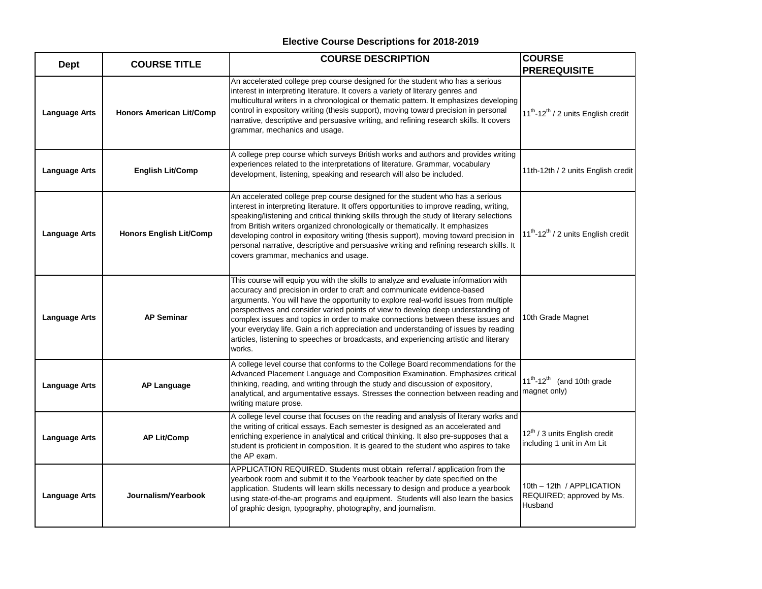| <b>Dept</b>          | <b>COURSE TITLE</b>             | <b>COURSE DESCRIPTION</b>                                                                                                                                                                                                                                                                                                                                                                                                                                                                                                                                                                                              | <b>COURSE</b>                                                                      |
|----------------------|---------------------------------|------------------------------------------------------------------------------------------------------------------------------------------------------------------------------------------------------------------------------------------------------------------------------------------------------------------------------------------------------------------------------------------------------------------------------------------------------------------------------------------------------------------------------------------------------------------------------------------------------------------------|------------------------------------------------------------------------------------|
| <b>Language Arts</b> | <b>Honors American Lit/Comp</b> | An accelerated college prep course designed for the student who has a serious<br>interest in interpreting literature. It covers a variety of literary genres and<br>multicultural writers in a chronological or thematic pattern. It emphasizes developing<br>control in expository writing (thesis support), moving toward precision in personal<br>narrative, descriptive and persuasive writing, and refining research skills. It covers<br>grammar, mechanics and usage.                                                                                                                                           | <b>PREREQUISITE</b><br>11 <sup>th</sup> -12 <sup>th</sup> / 2 units English credit |
| <b>Language Arts</b> | <b>English Lit/Comp</b>         | A college prep course which surveys British works and authors and provides writing<br>experiences related to the interpretations of literature. Grammar, vocabulary<br>development, listening, speaking and research will also be included.                                                                                                                                                                                                                                                                                                                                                                            | 11th-12th / 2 units English credit                                                 |
| Language Arts        | <b>Honors English Lit/Comp</b>  | An accelerated college prep course designed for the student who has a serious<br>interest in interpreting literature. It offers opportunities to improve reading, writing,<br>speaking/listening and critical thinking skills through the study of literary selections<br>from British writers organized chronologically or thematically. It emphasizes<br>developing control in expository writing (thesis support), moving toward precision in<br>personal narrative, descriptive and persuasive writing and refining research skills. It<br>covers grammar, mechanics and usage.                                    | 11 <sup>th</sup> -12 <sup>th</sup> / 2 units English credit                        |
| <b>Language Arts</b> | <b>AP Seminar</b>               | This course will equip you with the skills to analyze and evaluate information with<br>accuracy and precision in order to craft and communicate evidence-based<br>arguments. You will have the opportunity to explore real-world issues from multiple<br>perspectives and consider varied points of view to develop deep understanding of<br>complex issues and topics in order to make connections between these issues and<br>your everyday life. Gain a rich appreciation and understanding of issues by reading<br>articles, listening to speeches or broadcasts, and experiencing artistic and literary<br>works. | 10th Grade Magnet                                                                  |
| <b>Language Arts</b> | <b>AP Language</b>              | A college level course that conforms to the College Board recommendations for the<br>Advanced Placement Language and Composition Examination. Emphasizes critical<br>thinking, reading, and writing through the study and discussion of expository,<br>analytical, and argumentative essays. Stresses the connection between reading and magnet only)<br>writing mature prose.                                                                                                                                                                                                                                         | $11^{th} - 12^{th}$<br>(and 10th grade                                             |
| <b>Language Arts</b> | <b>AP Lit/Comp</b>              | A college level course that focuses on the reading and analysis of literary works and<br>the writing of critical essays. Each semester is designed as an accelerated and<br>enriching experience in analytical and critical thinking. It also pre-supposes that a<br>student is proficient in composition. It is geared to the student who aspires to take<br>the AP exam.                                                                                                                                                                                                                                             | 12 <sup>th</sup> / 3 units English credit<br>including 1 unit in Am Lit            |
| Language Arts        | Journalism/Yearbook             | APPLICATION REQUIRED. Students must obtain referral / application from the<br>yearbook room and submit it to the Yearbook teacher by date specified on the<br>application. Students will learn skills necessary to design and produce a yearbook<br>using state-of-the-art programs and equipment. Students will also learn the basics<br>of graphic design, typography, photography, and journalism.                                                                                                                                                                                                                  | 10th - 12th / APPLICATION<br>REQUIRED; approved by Ms.<br>Husband                  |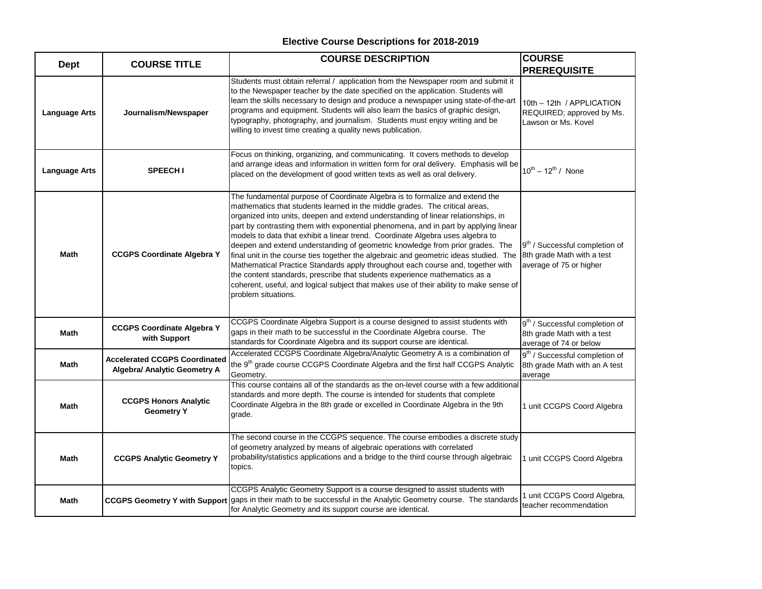| <b>Dept</b>          | <b>COURSE TITLE</b>                                                  | <b>COURSE DESCRIPTION</b>                                                                                                                                                                                                                                                                                                                                                                                                                                                                                                                                                                                                                                                                                                                                                                                                                                                             | <b>COURSE</b><br><b>PREREQUISITE</b>                                                                |
|----------------------|----------------------------------------------------------------------|---------------------------------------------------------------------------------------------------------------------------------------------------------------------------------------------------------------------------------------------------------------------------------------------------------------------------------------------------------------------------------------------------------------------------------------------------------------------------------------------------------------------------------------------------------------------------------------------------------------------------------------------------------------------------------------------------------------------------------------------------------------------------------------------------------------------------------------------------------------------------------------|-----------------------------------------------------------------------------------------------------|
| <b>Language Arts</b> | Journalism/Newspaper                                                 | Students must obtain referral / application from the Newspaper room and submit it<br>to the Newspaper teacher by the date specified on the application. Students will<br>learn the skills necessary to design and produce a newspaper using state-of-the-art<br>programs and equipment. Students will also learn the basics of graphic design,<br>typography, photography, and journalism. Students must enjoy writing and be<br>willing to invest time creating a quality news publication.                                                                                                                                                                                                                                                                                                                                                                                          | 10th - 12th / APPLICATION<br>REQUIRED; approved by Ms.<br>Lawson or Ms. Kovel                       |
| <b>Language Arts</b> | <b>SPEECH I</b>                                                      | Focus on thinking, organizing, and communicating. It covers methods to develop<br>and arrange ideas and information in written form for oral delivery. Emphasis will be<br>placed on the development of good written texts as well as oral delivery.                                                                                                                                                                                                                                                                                                                                                                                                                                                                                                                                                                                                                                  | $10^{th} - 12^{th}$ / None                                                                          |
| <b>Math</b>          | <b>CCGPS Coordinate Algebra Y</b>                                    | The fundamental purpose of Coordinate Algebra is to formalize and extend the<br>mathematics that students learned in the middle grades. The critical areas,<br>organized into units, deepen and extend understanding of linear relationships, in<br>part by contrasting them with exponential phenomena, and in part by applying linear<br>models to data that exhibit a linear trend. Coordinate Algebra uses algebra to<br>deepen and extend understanding of geometric knowledge from prior grades. The<br>final unit in the course ties together the algebraic and geometric ideas studied. The<br>Mathematical Practice Standards apply throughout each course and, together with<br>the content standards, prescribe that students experience mathematics as a<br>coherent, useful, and logical subject that makes use of their ability to make sense of<br>problem situations. | 9 <sup>th</sup> / Successful completion of<br>8th grade Math with a test<br>average of 75 or higher |
| Math                 | <b>CCGPS Coordinate Algebra Y</b><br>with Support                    | CCGPS Coordinate Algebra Support is a course designed to assist students with<br>gaps in their math to be successful in the Coordinate Algebra course. The<br>standards for Coordinate Algebra and its support course are identical.                                                                                                                                                                                                                                                                                                                                                                                                                                                                                                                                                                                                                                                  | 9 <sup>th</sup> / Successful completion of<br>8th grade Math with a test<br>average of 74 or below  |
| <b>Math</b>          | <b>Accelerated CCGPS Coordinated</b><br>Algebra/ Analytic Geometry A | Accelerated CCGPS Coordinate Algebra/Analytic Geometry A is a combination of<br>the 9 <sup>th</sup> grade course CCGPS Coordinate Algebra and the first half CCGPS Analytic<br>Geometry.                                                                                                                                                                                                                                                                                                                                                                                                                                                                                                                                                                                                                                                                                              | 9 <sup>th</sup> / Successful completion of<br>8th grade Math with an A test<br>average              |
| Math                 | <b>CCGPS Honors Analytic</b><br><b>Geometry Y</b>                    | This course contains all of the standards as the on-level course with a few additional<br>standards and more depth. The course is intended for students that complete<br>Coordinate Algebra in the 8th grade or excelled in Coordinate Algebra in the 9th<br>grade.                                                                                                                                                                                                                                                                                                                                                                                                                                                                                                                                                                                                                   | 1 unit CCGPS Coord Algebra                                                                          |
| Math                 | <b>CCGPS Analytic Geometry Y</b>                                     | The second course in the CCGPS sequence. The course embodies a discrete study<br>of geometry analyzed by means of algebraic operations with correlated<br>probability/statistics applications and a bridge to the third course through algebraic<br>topics.                                                                                                                                                                                                                                                                                                                                                                                                                                                                                                                                                                                                                           | 1 unit CCGPS Coord Algebra                                                                          |
| Math                 | <b>CCGPS Geometry Y with Support</b>                                 | CCGPS Analytic Geometry Support is a course designed to assist students with<br>gaps in their math to be successful in the Analytic Geometry course. The standards<br>for Analytic Geometry and its support course are identical.                                                                                                                                                                                                                                                                                                                                                                                                                                                                                                                                                                                                                                                     | 1 unit CCGPS Coord Algebra,<br>teacher recommendation                                               |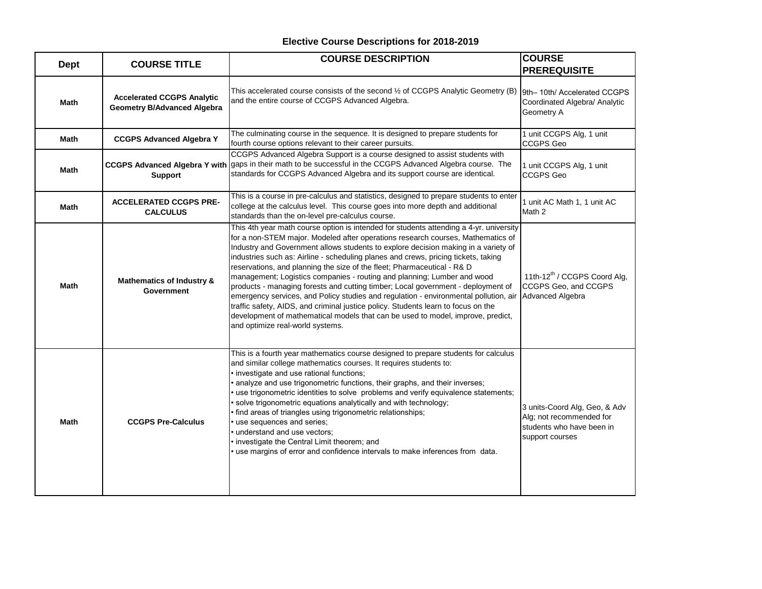| <b>Dept</b> | <b>COURSE TITLE</b>                                                     | <b>COURSE DESCRIPTION</b>                                                                                                                                                                                                                                                                                                                                                                                                                                                                                                                                                                                                                                                                                                                                                                                                                                                                           | <b>COURSE</b><br><b>PREREQUISITE</b>                                                                      |
|-------------|-------------------------------------------------------------------------|-----------------------------------------------------------------------------------------------------------------------------------------------------------------------------------------------------------------------------------------------------------------------------------------------------------------------------------------------------------------------------------------------------------------------------------------------------------------------------------------------------------------------------------------------------------------------------------------------------------------------------------------------------------------------------------------------------------------------------------------------------------------------------------------------------------------------------------------------------------------------------------------------------|-----------------------------------------------------------------------------------------------------------|
| Math        | <b>Accelerated CCGPS Analytic</b><br><b>Geometry B/Advanced Algebra</b> | This accelerated course consists of the second 1/2 of CCGPS Analytic Geometry (B)<br>and the entire course of CCGPS Advanced Algebra.                                                                                                                                                                                                                                                                                                                                                                                                                                                                                                                                                                                                                                                                                                                                                               | 9th-10th/ Accelerated CCGPS<br>Coordinated Algebra/ Analytic<br>Geometry A                                |
| Math        | <b>CCGPS Advanced Algebra Y</b>                                         | The culminating course in the sequence. It is designed to prepare students for<br>fourth course options relevant to their career pursuits.                                                                                                                                                                                                                                                                                                                                                                                                                                                                                                                                                                                                                                                                                                                                                          | 1 unit CCGPS Alg, 1 unit<br><b>CCGPS Geo</b>                                                              |
| Math        | <b>Support</b>                                                          | CCGPS Advanced Algebra Support is a course designed to assist students with<br>CCGPS Advanced Algebra Y with gaps in their math to be successful in the CCGPS Advanced Algebra course. The<br>standards for CCGPS Advanced Algebra and its support course are identical.                                                                                                                                                                                                                                                                                                                                                                                                                                                                                                                                                                                                                            | 1 unit CCGPS Alg, 1 unit<br><b>CCGPS Geo</b>                                                              |
| <b>Math</b> | <b>ACCELERATED CCGPS PRE-</b><br><b>CALCULUS</b>                        | This is a course in pre-calculus and statistics, designed to prepare students to enter<br>college at the calculus level. This course goes into more depth and additional<br>standards than the on-level pre-calculus course.                                                                                                                                                                                                                                                                                                                                                                                                                                                                                                                                                                                                                                                                        | 1 unit AC Math 1, 1 unit AC<br>Math 2                                                                     |
| <b>Math</b> | <b>Mathematics of Industry &amp;</b><br>Government                      | This 4th year math course option is intended for students attending a 4-yr. university<br>for a non-STEM major. Modeled after operations research courses, Mathematics of<br>Industry and Government allows students to explore decision making in a variety of<br>industries such as: Airline - scheduling planes and crews, pricing tickets, taking<br>reservations, and planning the size of the fleet; Pharmaceutical - R& D<br>management; Logistics companies - routing and planning; Lumber and wood<br>products - managing forests and cutting timber; Local government - deployment of<br>emergency services, and Policy studies and regulation - environmental pollution, air<br>traffic safety, AIDS, and criminal justice policy. Students learn to focus on the<br>development of mathematical models that can be used to model, improve, predict,<br>and optimize real-world systems. | 11th-12 <sup>th</sup> / CCGPS Coord Alg,<br>CCGPS Geo, and CCGPS<br>Advanced Algebra                      |
| <b>Math</b> | <b>CCGPS Pre-Calculus</b>                                               | This is a fourth year mathematics course designed to prepare students for calculus<br>and similar college mathematics courses. It requires students to:<br>investigate and use rational functions;<br>analyze and use trigonometric functions, their graphs, and their inverses;<br>use trigonometric identities to solve problems and verify equivalence statements;<br>solve trigonometric equations analytically and with technology;<br>find areas of triangles using trigonometric relationships;<br>use sequences and series;<br>understand and use vectors;<br>investigate the Central Limit theorem; and<br>use margins of error and confidence intervals to make inferences from data.                                                                                                                                                                                                     | 3 units-Coord Alg, Geo, & Adv<br>Alg; not recommended for<br>students who have been in<br>support courses |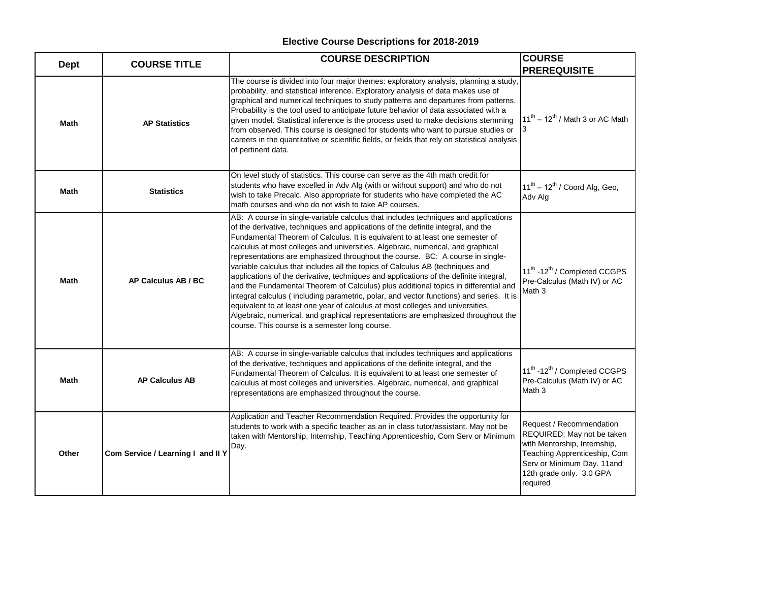| <b>Dept</b> | <b>COURSE TITLE</b>               | <b>COURSE DESCRIPTION</b>                                                                                                                                                                                                                                                                                                                                                                                                                                                                                                                                                                                                                                                                                                                                                                                                                                                                                                                                                                                        | <b>COURSE</b>                                                                                                                                                                                |
|-------------|-----------------------------------|------------------------------------------------------------------------------------------------------------------------------------------------------------------------------------------------------------------------------------------------------------------------------------------------------------------------------------------------------------------------------------------------------------------------------------------------------------------------------------------------------------------------------------------------------------------------------------------------------------------------------------------------------------------------------------------------------------------------------------------------------------------------------------------------------------------------------------------------------------------------------------------------------------------------------------------------------------------------------------------------------------------|----------------------------------------------------------------------------------------------------------------------------------------------------------------------------------------------|
|             |                                   |                                                                                                                                                                                                                                                                                                                                                                                                                                                                                                                                                                                                                                                                                                                                                                                                                                                                                                                                                                                                                  | <b>PREREQUISITE</b>                                                                                                                                                                          |
| <b>Math</b> | <b>AP Statistics</b>              | The course is divided into four major themes: exploratory analysis, planning a study,<br>probability, and statistical inference. Exploratory analysis of data makes use of<br>graphical and numerical techniques to study patterns and departures from patterns.<br>Probability is the tool used to anticipate future behavior of data associated with a<br>given model. Statistical inference is the process used to make decisions stemming<br>from observed. This course is designed for students who want to pursue studies or<br>careers in the quantitative or scientific fields, or fields that rely on statistical analysis<br>of pertinent data.                                                                                                                                                                                                                                                                                                                                                        | $11^{th}$ – $12^{th}$ / Math 3 or AC Math                                                                                                                                                    |
| <b>Math</b> | <b>Statistics</b>                 | On level study of statistics. This course can serve as the 4th math credit for<br>students who have excelled in Adv Alg (with or without support) and who do not<br>wish to take Precalc. Also appropriate for students who have completed the AC<br>math courses and who do not wish to take AP courses.                                                                                                                                                                                                                                                                                                                                                                                                                                                                                                                                                                                                                                                                                                        | $11^{th} - 12^{th}$ / Coord Alg, Geo,<br>Adv Alg                                                                                                                                             |
| Math        | AP Calculus AB / BC               | AB: A course in single-variable calculus that includes techniques and applications<br>of the derivative, techniques and applications of the definite integral, and the<br>Fundamental Theorem of Calculus. It is equivalent to at least one semester of<br>calculus at most colleges and universities. Algebraic, numerical, and graphical<br>representations are emphasized throughout the course. BC: A course in single-<br>variable calculus that includes all the topics of Calculus AB (techniques and<br>applications of the derivative, techniques and applications of the definite integral,<br>and the Fundamental Theorem of Calculus) plus additional topics in differential and<br>integral calculus (including parametric, polar, and vector functions) and series. It is<br>equivalent to at least one year of calculus at most colleges and universities.<br>Algebraic, numerical, and graphical representations are emphasized throughout the<br>course. This course is a semester long course. | 11 <sup>th</sup> -12 <sup>th</sup> / Completed CCGPS<br>Pre-Calculus (Math IV) or AC<br>Math <sub>3</sub>                                                                                    |
| Math        | <b>AP Calculus AB</b>             | AB: A course in single-variable calculus that includes techniques and applications<br>of the derivative, techniques and applications of the definite integral, and the<br>Fundamental Theorem of Calculus. It is equivalent to at least one semester of<br>calculus at most colleges and universities. Algebraic, numerical, and graphical<br>representations are emphasized throughout the course.                                                                                                                                                                                                                                                                                                                                                                                                                                                                                                                                                                                                              | 11 <sup>th</sup> -12 <sup>th</sup> / Completed CCGPS<br>Pre-Calculus (Math IV) or AC<br>Math 3                                                                                               |
| Other       | Com Service / Learning I and II Y | Application and Teacher Recommendation Required. Provides the opportunity for<br>students to work with a specific teacher as an in class tutor/assistant. May not be<br>taken with Mentorship, Internship, Teaching Apprenticeship, Com Serv or Minimum<br>Day.                                                                                                                                                                                                                                                                                                                                                                                                                                                                                                                                                                                                                                                                                                                                                  | Request / Recommendation<br>REQUIRED; May not be taken<br>with Mentorship, Internship,<br>Teaching Apprenticeship, Com<br>Serv or Minimum Day. 11and<br>12th grade only. 3.0 GPA<br>required |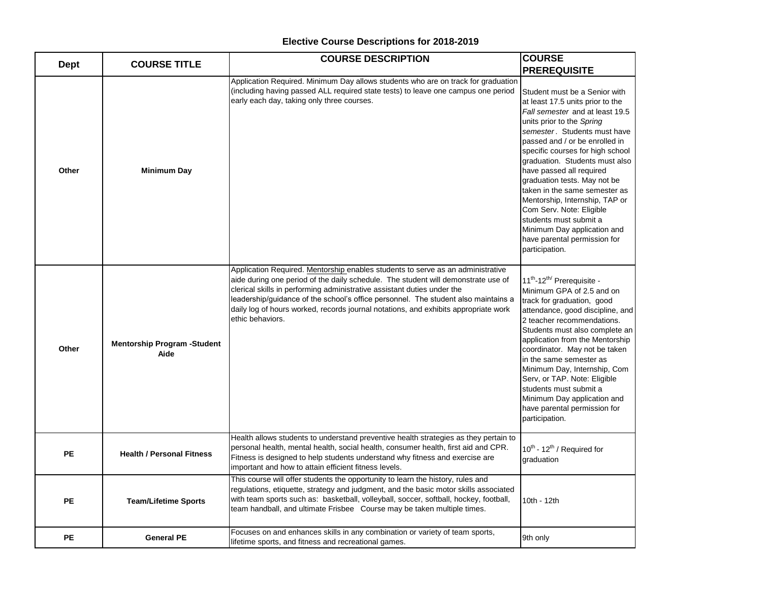|             | <b>COURSE TITLE</b>                        | <b>COURSE DESCRIPTION</b>                                                                                                                                                                                                                                                                                                                                                                                                                        | <b>COURSE</b>                                                                                                                                                                                                                                                                                                                                                                                                                                                                                                                                   |
|-------------|--------------------------------------------|--------------------------------------------------------------------------------------------------------------------------------------------------------------------------------------------------------------------------------------------------------------------------------------------------------------------------------------------------------------------------------------------------------------------------------------------------|-------------------------------------------------------------------------------------------------------------------------------------------------------------------------------------------------------------------------------------------------------------------------------------------------------------------------------------------------------------------------------------------------------------------------------------------------------------------------------------------------------------------------------------------------|
| <b>Dept</b> |                                            |                                                                                                                                                                                                                                                                                                                                                                                                                                                  | <b>PREREQUISITE</b>                                                                                                                                                                                                                                                                                                                                                                                                                                                                                                                             |
| Other       | Minimum Day                                | Application Required. Minimum Day allows students who are on track for graduation<br>(including having passed ALL required state tests) to leave one campus one period<br>early each day, taking only three courses.                                                                                                                                                                                                                             | Student must be a Senior with<br>at least 17.5 units prior to the<br>Fall semester and at least 19.5<br>units prior to the Spring<br>semester. Students must have<br>passed and / or be enrolled in<br>specific courses for high school<br>graduation. Students must also<br>have passed all required<br>graduation tests. May not be<br>taken in the same semester as<br>Mentorship, Internship, TAP or<br>Com Serv. Note: Eligible<br>students must submit a<br>Minimum Day application and<br>have parental permission for<br>participation. |
| Other       | <b>Mentorship Program -Student</b><br>Aide | Application Required. Mentorship enables students to serve as an administrative<br>aide during one period of the daily schedule. The student will demonstrate use of<br>clerical skills in performing administrative assistant duties under the<br>leadership/guidance of the school's office personnel. The student also maintains a<br>daily log of hours worked, records journal notations, and exhibits appropriate work<br>ethic behaviors. | 11 <sup>th</sup> -12 <sup>th/</sup> Prerequisite -<br>Minimum GPA of 2.5 and on<br>track for graduation, good<br>attendance, good discipline, and<br>2 teacher recommendations.<br>Students must also complete an<br>application from the Mentorship<br>coordinator. May not be taken<br>in the same semester as<br>Minimum Day, Internship, Com<br>Serv, or TAP. Note: Eligible<br>students must submit a<br>Minimum Day application and<br>have parental permission for<br>participation.                                                     |
| <b>PE</b>   | <b>Health / Personal Fitness</b>           | Health allows students to understand preventive health strategies as they pertain to<br>personal health, mental health, social health, consumer health, first aid and CPR.<br>Fitness is designed to help students understand why fitness and exercise are<br>important and how to attain efficient fitness levels.                                                                                                                              | 10 <sup>th</sup> - 12 <sup>th</sup> / Required for<br>graduation                                                                                                                                                                                                                                                                                                                                                                                                                                                                                |
| <b>PE</b>   | <b>Team/Lifetime Sports</b>                | This course will offer students the opportunity to learn the history, rules and<br>regulations, etiquette, strategy and judgment, and the basic motor skills associated<br>with team sports such as: basketball, volleyball, soccer, softball, hockey, football,<br>team handball, and ultimate Frisbee  Course may be taken multiple times.                                                                                                     | 10th - 12th                                                                                                                                                                                                                                                                                                                                                                                                                                                                                                                                     |
| <b>PE</b>   | <b>General PE</b>                          | Focuses on and enhances skills in any combination or variety of team sports,<br>lifetime sports, and fitness and recreational games.                                                                                                                                                                                                                                                                                                             | 9th only                                                                                                                                                                                                                                                                                                                                                                                                                                                                                                                                        |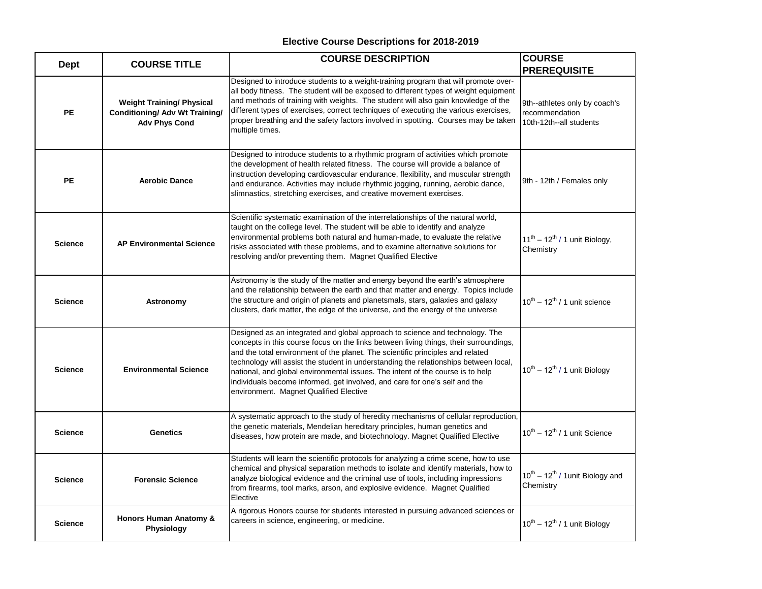| <b>Dept</b>    | <b>COURSE TITLE</b>                                                                               | <b>COURSE DESCRIPTION</b>                                                                                                                                                                                                                                                                                                                                                                                                                                                                                                                                 | <b>COURSE</b><br><b>PREREQUISITE</b>                                       |
|----------------|---------------------------------------------------------------------------------------------------|-----------------------------------------------------------------------------------------------------------------------------------------------------------------------------------------------------------------------------------------------------------------------------------------------------------------------------------------------------------------------------------------------------------------------------------------------------------------------------------------------------------------------------------------------------------|----------------------------------------------------------------------------|
| <b>PE</b>      | <b>Weight Training/ Physical</b><br><b>Conditioning/ Adv Wt Training/</b><br><b>Adv Phys Cond</b> | Designed to introduce students to a weight-training program that will promote over-<br>all body fitness. The student will be exposed to different types of weight equipment<br>and methods of training with weights. The student will also gain knowledge of the<br>different types of exercises, correct techniques of executing the various exercises,<br>proper breathing and the safety factors involved in spotting. Courses may be taken<br>multiple times.                                                                                         | 9th--athletes only by coach's<br>recommendation<br>10th-12th--all students |
| <b>PE</b>      | <b>Aerobic Dance</b>                                                                              | Designed to introduce students to a rhythmic program of activities which promote<br>the development of health related fitness. The course will provide a balance of<br>instruction developing cardiovascular endurance, flexibility, and muscular strength<br>and endurance. Activities may include rhythmic jogging, running, aerobic dance,<br>slimnastics, stretching exercises, and creative movement exercises.                                                                                                                                      | 9th - 12th / Females only                                                  |
| <b>Science</b> | <b>AP Environmental Science</b>                                                                   | Scientific systematic examination of the interrelationships of the natural world,<br>taught on the college level. The student will be able to identify and analyze<br>environmental problems both natural and human-made, to evaluate the relative<br>risks associated with these problems, and to examine alternative solutions for<br>resolving and/or preventing them. Magnet Qualified Elective                                                                                                                                                       | $11^{th} - 12^{th}$ / 1 unit Biology,<br>Chemistry                         |
| <b>Science</b> | Astronomy                                                                                         | Astronomy is the study of the matter and energy beyond the earth's atmosphere<br>and the relationship between the earth and that matter and energy. Topics include<br>the structure and origin of planets and planetsmals, stars, galaxies and galaxy<br>clusters, dark matter, the edge of the universe, and the energy of the universe                                                                                                                                                                                                                  | $10^{th} - 12^{th}$ / 1 unit science                                       |
| <b>Science</b> | <b>Environmental Science</b>                                                                      | Designed as an integrated and global approach to science and technology. The<br>concepts in this course focus on the links between living things, their surroundings,<br>and the total environment of the planet. The scientific principles and related<br>technology will assist the student in understanding the relationships between local,<br>national, and global environmental issues. The intent of the course is to help<br>individuals become informed, get involved, and care for one's self and the<br>environment. Magnet Qualified Elective | $10^{th} - 12^{th}$ / 1 unit Biology                                       |
| <b>Science</b> | <b>Genetics</b>                                                                                   | A systematic approach to the study of heredity mechanisms of cellular reproduction,<br>the genetic materials, Mendelian hereditary principles, human genetics and<br>diseases, how protein are made, and biotechnology. Magnet Qualified Elective                                                                                                                                                                                                                                                                                                         | $10^{th} - 12^{th}$ / 1 unit Science                                       |
| <b>Science</b> | <b>Forensic Science</b>                                                                           | Students will learn the scientific protocols for analyzing a crime scene, how to use<br>chemical and physical separation methods to isolate and identify materials, how to<br>analyze biological evidence and the criminal use of tools, including impressions<br>from firearms, tool marks, arson, and explosive evidence. Magnet Qualified<br>Elective                                                                                                                                                                                                  | $10^{th} - 12^{th}$ / 1 unit Biology and<br>Chemistry                      |
| <b>Science</b> | <b>Honors Human Anatomy &amp;</b><br>Physiology                                                   | A rigorous Honors course for students interested in pursuing advanced sciences or<br>careers in science, engineering, or medicine.                                                                                                                                                                                                                                                                                                                                                                                                                        | $10^{th} - 12^{th}$ / 1 unit Biology                                       |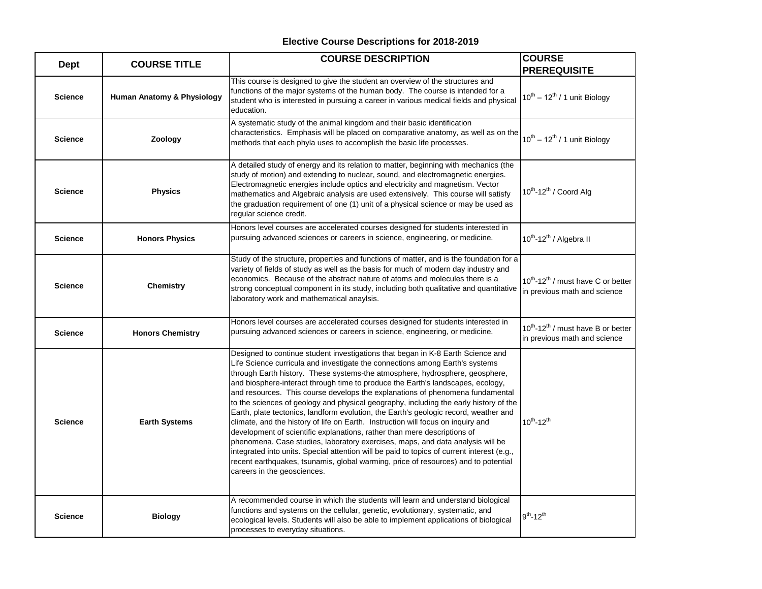| <b>Dept</b>    | <b>COURSE TITLE</b>        | <b>COURSE DESCRIPTION</b>                                                                                                                                                                                                                                                                                                                                                                                                                                                                                                                                                                                                                                                                                                                                                                                                                                                                                                                                                                                                                                                 | <b>COURSE</b>                                                                              |
|----------------|----------------------------|---------------------------------------------------------------------------------------------------------------------------------------------------------------------------------------------------------------------------------------------------------------------------------------------------------------------------------------------------------------------------------------------------------------------------------------------------------------------------------------------------------------------------------------------------------------------------------------------------------------------------------------------------------------------------------------------------------------------------------------------------------------------------------------------------------------------------------------------------------------------------------------------------------------------------------------------------------------------------------------------------------------------------------------------------------------------------|--------------------------------------------------------------------------------------------|
|                |                            |                                                                                                                                                                                                                                                                                                                                                                                                                                                                                                                                                                                                                                                                                                                                                                                                                                                                                                                                                                                                                                                                           | <b>PREREQUISITE</b>                                                                        |
| <b>Science</b> | Human Anatomy & Physiology | This course is designed to give the student an overview of the structures and<br>functions of the major systems of the human body. The course is intended for a<br>student who is interested in pursuing a career in various medical fields and physical<br>education.                                                                                                                                                                                                                                                                                                                                                                                                                                                                                                                                                                                                                                                                                                                                                                                                    | $10^{th} - 12^{th}$ / 1 unit Biology                                                       |
| <b>Science</b> | Zoology                    | A systematic study of the animal kingdom and their basic identification<br>characteristics. Emphasis will be placed on comparative anatomy, as well as on the<br>methods that each phyla uses to accomplish the basic life processes.                                                                                                                                                                                                                                                                                                                                                                                                                                                                                                                                                                                                                                                                                                                                                                                                                                     | $10^{th} - 12^{th}$ / 1 unit Biology                                                       |
| <b>Science</b> | <b>Physics</b>             | A detailed study of energy and its relation to matter, beginning with mechanics (the<br>study of motion) and extending to nuclear, sound, and electromagnetic energies.<br>Electromagnetic energies include optics and electricity and magnetism. Vector<br>mathematics and Algebraic analysis are used extensively. This course will satisfy<br>the graduation requirement of one (1) unit of a physical science or may be used as<br>regular science credit.                                                                                                                                                                                                                                                                                                                                                                                                                                                                                                                                                                                                            | $10^{th}$ -12 <sup>th</sup> / Coord Alg                                                    |
| <b>Science</b> | <b>Honors Physics</b>      | Honors level courses are accelerated courses designed for students interested in<br>pursuing advanced sciences or careers in science, engineering, or medicine.                                                                                                                                                                                                                                                                                                                                                                                                                                                                                                                                                                                                                                                                                                                                                                                                                                                                                                           | 10 <sup>th</sup> -12 <sup>th</sup> / Algebra II                                            |
| <b>Science</b> | <b>Chemistry</b>           | Study of the structure, properties and functions of matter, and is the foundation for a<br>variety of fields of study as well as the basis for much of modern day industry and<br>economics. Because of the abstract nature of atoms and molecules there is a<br>strong conceptual component in its study, including both qualitative and quantitative<br>laboratory work and mathematical anaylsis.                                                                                                                                                                                                                                                                                                                                                                                                                                                                                                                                                                                                                                                                      | 10 <sup>th</sup> -12 <sup>th</sup> / must have C or better<br>in previous math and science |
| <b>Science</b> | <b>Honors Chemistry</b>    | Honors level courses are accelerated courses designed for students interested in<br>pursuing advanced sciences or careers in science, engineering, or medicine.                                                                                                                                                                                                                                                                                                                                                                                                                                                                                                                                                                                                                                                                                                                                                                                                                                                                                                           | $10^{th}$ -12 <sup>th</sup> / must have B or better<br>in previous math and science        |
| <b>Science</b> | <b>Earth Systems</b>       | Designed to continue student investigations that began in K-8 Earth Science and<br>Life Science curricula and investigate the connections among Earth's systems<br>through Earth history. These systems-the atmosphere, hydrosphere, geosphere,<br>and biosphere-interact through time to produce the Earth's landscapes, ecology,<br>and resources. This course develops the explanations of phenomena fundamental<br>to the sciences of geology and physical geography, including the early history of the<br>Earth, plate tectonics, landform evolution, the Earth's geologic record, weather and<br>climate, and the history of life on Earth. Instruction will focus on inquiry and<br>development of scientific explanations, rather than mere descriptions of<br>phenomena. Case studies, laboratory exercises, maps, and data analysis will be<br>integrated into units. Special attention will be paid to topics of current interest (e.g.,<br>recent earthquakes, tsunamis, global warming, price of resources) and to potential<br>careers in the geosciences. | $10^{th} - 12^{th}$                                                                        |
| <b>Science</b> | <b>Biology</b>             | A recommended course in which the students will learn and understand biological<br>functions and systems on the cellular, genetic, evolutionary, systematic, and<br>ecological levels. Students will also be able to implement applications of biological<br>processes to everyday situations.                                                                                                                                                                                                                                                                                                                                                                                                                                                                                                                                                                                                                                                                                                                                                                            | $9^{\text{th}}$ -12 <sup>th</sup>                                                          |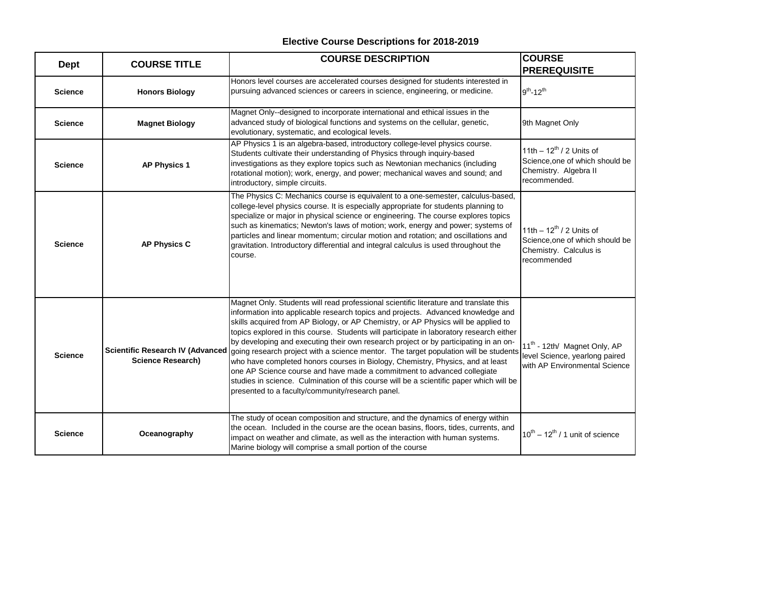| <b>Dept</b>    | <b>COURSE TITLE</b>                                                 | <b>COURSE DESCRIPTION</b>                                                                                                                                                                                                                                                                                                                                                                                                                                                                                                                                                                                                                                                                                                                                                                                                                              | <b>COURSE</b>                                                                                               |
|----------------|---------------------------------------------------------------------|--------------------------------------------------------------------------------------------------------------------------------------------------------------------------------------------------------------------------------------------------------------------------------------------------------------------------------------------------------------------------------------------------------------------------------------------------------------------------------------------------------------------------------------------------------------------------------------------------------------------------------------------------------------------------------------------------------------------------------------------------------------------------------------------------------------------------------------------------------|-------------------------------------------------------------------------------------------------------------|
|                |                                                                     |                                                                                                                                                                                                                                                                                                                                                                                                                                                                                                                                                                                                                                                                                                                                                                                                                                                        | <b>PREREQUISITE</b>                                                                                         |
| <b>Science</b> | <b>Honors Biology</b>                                               | Honors level courses are accelerated courses designed for students interested in<br>pursuing advanced sciences or careers in science, engineering, or medicine.                                                                                                                                                                                                                                                                                                                                                                                                                                                                                                                                                                                                                                                                                        | $9^{th}$ -12 <sup>th</sup>                                                                                  |
| <b>Science</b> | <b>Magnet Biology</b>                                               | Magnet Only--designed to incorporate international and ethical issues in the<br>advanced study of biological functions and systems on the cellular, genetic,<br>evolutionary, systematic, and ecological levels.                                                                                                                                                                                                                                                                                                                                                                                                                                                                                                                                                                                                                                       | 9th Magnet Only                                                                                             |
| <b>Science</b> | <b>AP Physics 1</b>                                                 | AP Physics 1 is an algebra-based, introductory college-level physics course.<br>Students cultivate their understanding of Physics through inquiry-based<br>investigations as they explore topics such as Newtonian mechanics (including<br>rotational motion); work, energy, and power; mechanical waves and sound; and<br>introductory, simple circuits.                                                                                                                                                                                                                                                                                                                                                                                                                                                                                              | 11th $- 12^{th}$ / 2 Units of<br>Science, one of which should be<br>Chemistry. Algebra II<br>recommended.   |
| <b>Science</b> | <b>AP Physics C</b>                                                 | The Physics C: Mechanics course is equivalent to a one-semester, calculus-based,<br>college-level physics course. It is especially appropriate for students planning to<br>specialize or major in physical science or engineering. The course explores topics<br>such as kinematics; Newton's laws of motion; work, energy and power; systems of<br>particles and linear momentum; circular motion and rotation; and oscillations and<br>gravitation. Introductory differential and integral calculus is used throughout the<br>course.                                                                                                                                                                                                                                                                                                                | 11th $-12^{th}$ / 2 Units of<br>Science, one of which should be<br>Chemistry. Calculus is<br>recommended    |
| <b>Science</b> | <b>Scientific Research IV (Advanced</b><br><b>Science Research)</b> | Magnet Only. Students will read professional scientific literature and translate this<br>information into applicable research topics and projects. Advanced knowledge and<br>skills acquired from AP Biology, or AP Chemistry, or AP Physics will be applied to<br>topics explored in this course. Students will participate in laboratory research either<br>by developing and executing their own research project or by participating in an on-<br>going research project with a science mentor. The target population will be students<br>who have completed honors courses in Biology, Chemistry, Physics, and at least<br>one AP Science course and have made a commitment to advanced collegiate<br>studies in science. Culmination of this course will be a scientific paper which will be<br>presented to a faculty/community/research panel. | 11 <sup>th</sup> - 12th/ Magnet Only, AP<br>level Science, yearlong paired<br>with AP Environmental Science |
| <b>Science</b> | Oceanography                                                        | The study of ocean composition and structure, and the dynamics of energy within<br>the ocean. Included in the course are the ocean basins, floors, tides, currents, and<br>impact on weather and climate, as well as the interaction with human systems.<br>Marine biology will comprise a small portion of the course                                                                                                                                                                                                                                                                                                                                                                                                                                                                                                                                 | $10^{th} - 12^{th}$ / 1 unit of science                                                                     |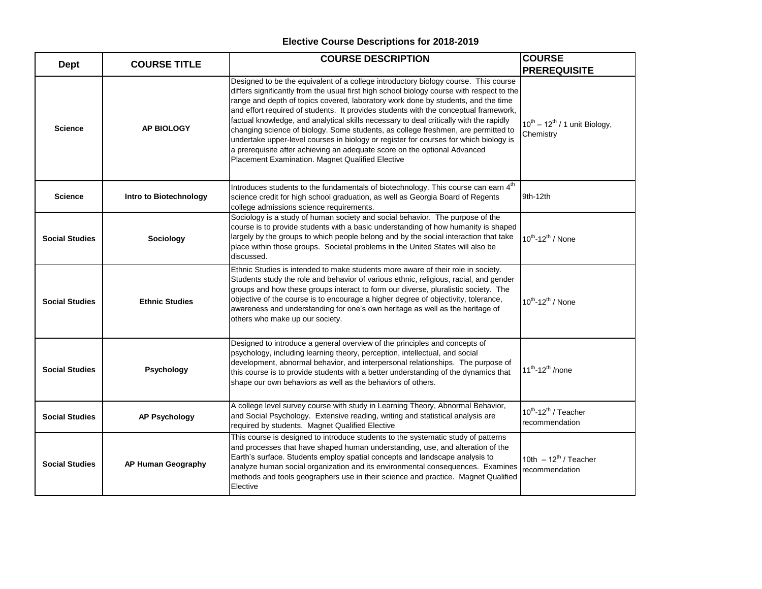| <b>Dept</b>           | <b>COURSE TITLE</b>    | <b>COURSE DESCRIPTION</b>                                                                                                                                                                                                                                                                                                                                                                                                                                                                                                                                                                                                                                                                                                                                              | <b>COURSE</b><br><b>PREREQUISITE</b>                           |
|-----------------------|------------------------|------------------------------------------------------------------------------------------------------------------------------------------------------------------------------------------------------------------------------------------------------------------------------------------------------------------------------------------------------------------------------------------------------------------------------------------------------------------------------------------------------------------------------------------------------------------------------------------------------------------------------------------------------------------------------------------------------------------------------------------------------------------------|----------------------------------------------------------------|
| <b>Science</b>        | <b>AP BIOLOGY</b>      | Designed to be the equivalent of a college introductory biology course. This course<br>differs significantly from the usual first high school biology course with respect to the<br>range and depth of topics covered, laboratory work done by students, and the time<br>and effort required of students. It provides students with the conceptual framework,<br>factual knowledge, and analytical skills necessary to deal critically with the rapidly<br>changing science of biology. Some students, as college freshmen, are permitted to<br>undertake upper-level courses in biology or register for courses for which biology is<br>a prerequisite after achieving an adequate score on the optional Advanced<br>Placement Examination. Magnet Qualified Elective | $10^{th} - 12^{th}$ / 1 unit Biology,<br>Chemistry             |
| <b>Science</b>        | Intro to Biotechnology | Introduces students to the fundamentals of biotechnology. This course can earn 4 <sup>th</sup><br>science credit for high school graduation, as well as Georgia Board of Regents<br>college admissions science requirements.                                                                                                                                                                                                                                                                                                                                                                                                                                                                                                                                           | 9th-12th                                                       |
| <b>Social Studies</b> | Sociology              | Sociology is a study of human society and social behavior. The purpose of the<br>course is to provide students with a basic understanding of how humanity is shaped<br>largely by the groups to which people belong and by the social interaction that take<br>place within those groups. Societal problems in the United States will also be<br>discussed.                                                                                                                                                                                                                                                                                                                                                                                                            | 10 <sup>th</sup> -12 <sup>th</sup> / None                      |
| <b>Social Studies</b> | <b>Ethnic Studies</b>  | Ethnic Studies is intended to make students more aware of their role in society.<br>Students study the role and behavior of various ethnic, religious, racial, and gender<br>groups and how these groups interact to form our diverse, pluralistic society. The<br>objective of the course is to encourage a higher degree of objectivity, tolerance,<br>awareness and understanding for one's own heritage as well as the heritage of<br>others who make up our society.                                                                                                                                                                                                                                                                                              | $10^{th}$ -12 <sup>th</sup> / None                             |
| <b>Social Studies</b> | Psychology             | Designed to introduce a general overview of the principles and concepts of<br>psychology, including learning theory, perception, intellectual, and social<br>development, abnormal behavior, and interpersonal relationships. The purpose of<br>this course is to provide students with a better understanding of the dynamics that<br>shape our own behaviors as well as the behaviors of others.                                                                                                                                                                                                                                                                                                                                                                     | $11^{th}$ -12 <sup>th</sup> /none                              |
| <b>Social Studies</b> | <b>AP Psychology</b>   | A college level survey course with study in Learning Theory, Abnormal Behavior,<br>and Social Psychology. Extensive reading, writing and statistical analysis are<br>required by students. Magnet Qualified Elective                                                                                                                                                                                                                                                                                                                                                                                                                                                                                                                                                   | 10 <sup>th</sup> -12 <sup>th</sup> / Teacher<br>recommendation |
| <b>Social Studies</b> | AP Human Geography     | This course is designed to introduce students to the systematic study of patterns<br>and processes that have shaped human understanding, use, and alteration of the<br>Earth's surface. Students employ spatial concepts and landscape analysis to<br>analyze human social organization and its environmental consequences. Examines<br>methods and tools geographers use in their science and practice. Magnet Qualified<br>Elective                                                                                                                                                                                                                                                                                                                                  | 10th $-12^{th}$ / Teacher<br>recommendation                    |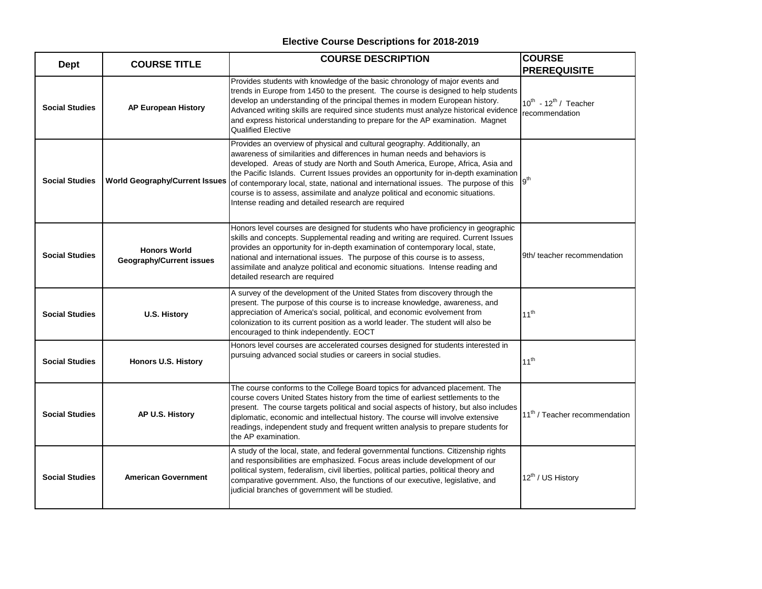| <b>Dept</b>           | <b>COURSE TITLE</b>                                    | <b>COURSE DESCRIPTION</b>                                                                                                                                                                                                                                                                                                                                                                                                                                                                                                                                         | <b>COURSE</b><br><b>PREREQUISITE</b>              |
|-----------------------|--------------------------------------------------------|-------------------------------------------------------------------------------------------------------------------------------------------------------------------------------------------------------------------------------------------------------------------------------------------------------------------------------------------------------------------------------------------------------------------------------------------------------------------------------------------------------------------------------------------------------------------|---------------------------------------------------|
| <b>Social Studies</b> | <b>AP European History</b>                             | Provides students with knowledge of the basic chronology of major events and<br>trends in Europe from 1450 to the present. The course is designed to help students<br>develop an understanding of the principal themes in modern European history.<br>Advanced writing skills are required since students must analyze historical evidence<br>and express historical understanding to prepare for the AP examination. Magnet<br><b>Qualified Elective</b>                                                                                                         | $10^{th}$ - $12^{th}$ / Teacher<br>recommendation |
| <b>Social Studies</b> | <b>World Geography/Current Issues</b>                  | Provides an overview of physical and cultural geography. Additionally, an<br>awareness of similarities and differences in human needs and behaviors is<br>developed. Areas of study are North and South America, Europe, Africa, Asia and<br>the Pacific Islands. Current Issues provides an opportunity for in-depth examination<br>of contemporary local, state, national and international issues. The purpose of this<br>course is to assess, assimilate and analyze political and economic situations.<br>Intense reading and detailed research are required | g <sup>th</sup>                                   |
| <b>Social Studies</b> | <b>Honors World</b><br><b>Geography/Current issues</b> | Honors level courses are designed for students who have proficiency in geographic<br>skills and concepts. Supplemental reading and writing are required. Current Issues<br>provides an opportunity for in-depth examination of contemporary local, state,<br>national and international issues. The purpose of this course is to assess,<br>assimilate and analyze political and economic situations. Intense reading and<br>detailed research are required                                                                                                       | 9th/ teacher recommendation                       |
| <b>Social Studies</b> | <b>U.S. History</b>                                    | A survey of the development of the United States from discovery through the<br>present. The purpose of this course is to increase knowledge, awareness, and<br>appreciation of America's social, political, and economic evolvement from<br>colonization to its current position as a world leader. The student will also be<br>encouraged to think independently. EOCT                                                                                                                                                                                           | $11^{th}$                                         |
| <b>Social Studies</b> | Honors U.S. History                                    | Honors level courses are accelerated courses designed for students interested in<br>pursuing advanced social studies or careers in social studies.                                                                                                                                                                                                                                                                                                                                                                                                                | 11 <sup>th</sup>                                  |
| <b>Social Studies</b> | AP U.S. History                                        | The course conforms to the College Board topics for advanced placement. The<br>course covers United States history from the time of earliest settlements to the<br>present. The course targets political and social aspects of history, but also includes<br>diplomatic, economic and intellectual history. The course will involve extensive<br>readings, independent study and frequent written analysis to prepare students for<br>the AP examination.                                                                                                         | 11 <sup>th</sup> / Teacher recommendation         |
| <b>Social Studies</b> | <b>American Government</b>                             | A study of the local, state, and federal governmental functions. Citizenship rights<br>and responsibilities are emphasized. Focus areas include development of our<br>political system, federalism, civil liberties, political parties, political theory and<br>comparative government. Also, the functions of our executive, legislative, and<br>judicial branches of government will be studied.                                                                                                                                                                | 12 <sup>th</sup> / US History                     |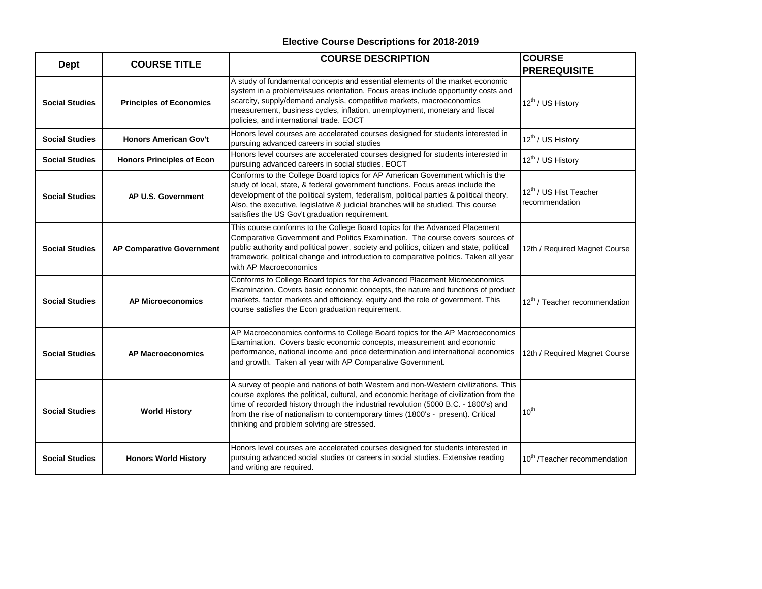| <b>Dept</b>           | <b>COURSE TITLE</b>              | <b>COURSE DESCRIPTION</b>                                                                                                                                                                                                                                                                                                                                                                             | ICOURSE<br><b>PREREQUISITE</b>                       |
|-----------------------|----------------------------------|-------------------------------------------------------------------------------------------------------------------------------------------------------------------------------------------------------------------------------------------------------------------------------------------------------------------------------------------------------------------------------------------------------|------------------------------------------------------|
| <b>Social Studies</b> | <b>Principles of Economics</b>   | A study of fundamental concepts and essential elements of the market economic<br>system in a problem/issues orientation. Focus areas include opportunity costs and<br>scarcity, supply/demand analysis, competitive markets, macroeconomics<br>measurement, business cycles, inflation, unemployment, monetary and fiscal<br>policies, and international trade. EOCT                                  | 12 <sup>th</sup> / US History                        |
| <b>Social Studies</b> | <b>Honors American Gov't</b>     | Honors level courses are accelerated courses designed for students interested in<br>pursuing advanced careers in social studies                                                                                                                                                                                                                                                                       | 12 <sup>th</sup> / US History                        |
| <b>Social Studies</b> | <b>Honors Principles of Econ</b> | Honors level courses are accelerated courses designed for students interested in<br>pursuing advanced careers in social studies. EOCT                                                                                                                                                                                                                                                                 | 12 <sup>th</sup> / US History                        |
| <b>Social Studies</b> | AP U.S. Government               | Conforms to the College Board topics for AP American Government which is the<br>study of local, state, & federal government functions. Focus areas include the<br>development of the political system, federalism, political parties & political theory.<br>Also, the executive, legislative & judicial branches will be studied. This course<br>satisfies the US Gov't graduation requirement.       | 12 <sup>th</sup> / US Hist Teacher<br>recommendation |
| <b>Social Studies</b> | AP Comparative Government        | This course conforms to the College Board topics for the Advanced Placement<br>Comparative Government and Politics Examination. The course covers sources of<br>public authority and political power, society and politics, citizen and state, political<br>framework, political change and introduction to comparative politics. Taken all year<br>with AP Macroeconomics                            | 12th / Required Magnet Course                        |
| <b>Social Studies</b> | <b>AP Microeconomics</b>         | Conforms to College Board topics for the Advanced Placement Microeconomics<br>Examination. Covers basic economic concepts, the nature and functions of product<br>markets, factor markets and efficiency, equity and the role of government. This<br>course satisfies the Econ graduation requirement.                                                                                                | 12 <sup>th</sup> / Teacher recommendation            |
| <b>Social Studies</b> | <b>AP Macroeconomics</b>         | AP Macroeconomics conforms to College Board topics for the AP Macroeconomics<br>Examination. Covers basic economic concepts, measurement and economic<br>performance, national income and price determination and international economics<br>and growth. Taken all year with AP Comparative Government.                                                                                               | 12th / Required Magnet Course                        |
| <b>Social Studies</b> | <b>World History</b>             | A survey of people and nations of both Western and non-Western civilizations. This<br>course explores the political, cultural, and economic heritage of civilization from the<br>time of recorded history through the industrial revolution (5000 B.C. - 1800's) and<br>from the rise of nationalism to contemporary times (1800's - present). Critical<br>thinking and problem solving are stressed. | $10^{th}$                                            |
| <b>Social Studies</b> | <b>Honors World History</b>      | Honors level courses are accelerated courses designed for students interested in<br>pursuing advanced social studies or careers in social studies. Extensive reading<br>and writing are required.                                                                                                                                                                                                     | 10 <sup>th</sup> /Teacher recommendation             |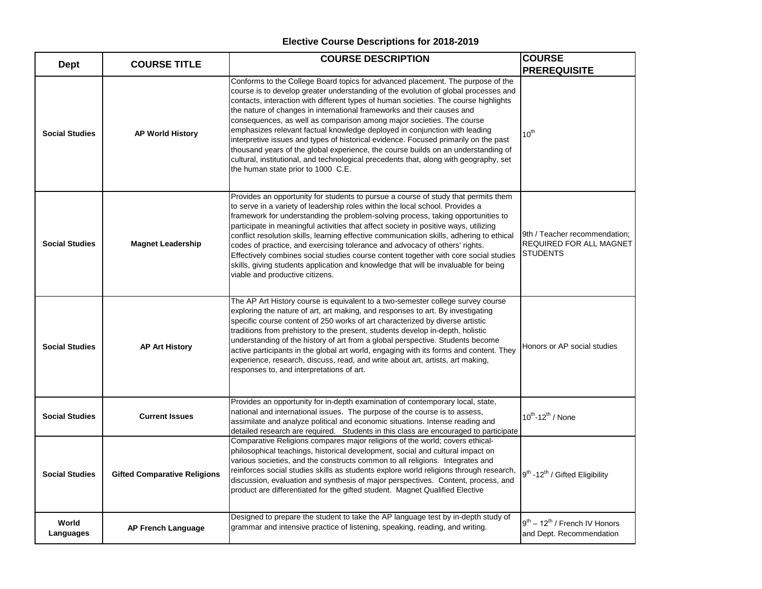| <b>Dept</b>           | <b>COURSE TITLE</b>                 | <b>COURSE DESCRIPTION</b>                                                                                                                                                                                                                                                                                                                                                                                                                                                                                                                                                                                                                                                                                                                                                                                  | <b>COURSE</b>                                                               |
|-----------------------|-------------------------------------|------------------------------------------------------------------------------------------------------------------------------------------------------------------------------------------------------------------------------------------------------------------------------------------------------------------------------------------------------------------------------------------------------------------------------------------------------------------------------------------------------------------------------------------------------------------------------------------------------------------------------------------------------------------------------------------------------------------------------------------------------------------------------------------------------------|-----------------------------------------------------------------------------|
|                       |                                     |                                                                                                                                                                                                                                                                                                                                                                                                                                                                                                                                                                                                                                                                                                                                                                                                            | <b>PREREQUISITE</b>                                                         |
| <b>Social Studies</b> | <b>AP World History</b>             | Conforms to the College Board topics for advanced placement. The purpose of the<br>course is to develop greater understanding of the evolution of global processes and<br>contacts, interaction with different types of human societies. The course highlights<br>the nature of changes in international frameworks and their causes and<br>consequences, as well as comparison among major societies. The course<br>emphasizes relevant factual knowledge deployed in conjunction with leading<br>interpretive issues and types of historical evidence. Focused primarily on the past<br>thousand years of the global experience, the course builds on an understanding of<br>cultural, institutional, and technological precedents that, along with geography, set<br>the human state prior to 1000 C.E. | $10^{th}$                                                                   |
| <b>Social Studies</b> | <b>Magnet Leadership</b>            | Provides an opportunity for students to pursue a course of study that permits them<br>to serve in a variety of leadership roles within the local school. Provides a<br>framework for understanding the problem-solving process, taking opportunities to<br>participate in meaningful activities that affect society in positive ways, utilizing<br>conflict resolution skills, learning effective communication skills, adhering to ethical<br>codes of practice, and exercising tolerance and advocacy of others' rights.<br>Effectively combines social studies course content together with core social studies<br>skills, giving students application and knowledge that will be invaluable for being<br>viable and productive citizens.                                                               | 9th / Teacher recommendation;<br>REQUIRED FOR ALL MAGNET<br><b>STUDENTS</b> |
| <b>Social Studies</b> | <b>AP Art History</b>               | The AP Art History course is equivalent to a two-semester college survey course<br>exploring the nature of art, art making, and responses to art. By investigating<br>specific course content of 250 works of art characterized by diverse artistic<br>traditions from prehistory to the present, students develop in-depth, holistic<br>understanding of the history of art from a global perspective. Students become<br>active participants in the global art world, engaging with its forms and content. They<br>experience, research, discuss, read, and write about art, artists, art making,<br>responses to, and interpretations of art.                                                                                                                                                           | Honors or AP social studies                                                 |
| <b>Social Studies</b> | <b>Current Issues</b>               | Provides an opportunity for in-depth examination of contemporary local, state,<br>national and international issues. The purpose of the course is to assess,<br>assimilate and analyze political and economic situations. Intense reading and<br>detailed research are required. Students in this class are encouraged to participate                                                                                                                                                                                                                                                                                                                                                                                                                                                                      | 10 <sup>th</sup> -12 <sup>th</sup> / None                                   |
| <b>Social Studies</b> | <b>Gifted Comparative Religions</b> | Comparative Religions compares major religions of the world; covers ethical-<br>philosophical teachings, historical development, social and cultural impact on<br>various societies, and the constructs common to all religions. Integrates and<br>reinforces social studies skills as students explore world religions through research,<br>discussion, evaluation and synthesis of major perspectives. Content, process, and<br>product are differentiated for the gifted student. Magnet Qualified Elective                                                                                                                                                                                                                                                                                             | 9 <sup>th</sup> -12 <sup>th</sup> / Gifted Eligibility                      |
| World<br>Languages    | <b>AP French Language</b>           | Designed to prepare the student to take the AP language test by in-depth study of<br>grammar and intensive practice of listening, speaking, reading, and writing.                                                                                                                                                                                                                                                                                                                                                                                                                                                                                                                                                                                                                                          | $9^{th}$ – 12 <sup>th</sup> / French IV Honors<br>and Dept. Recommendation  |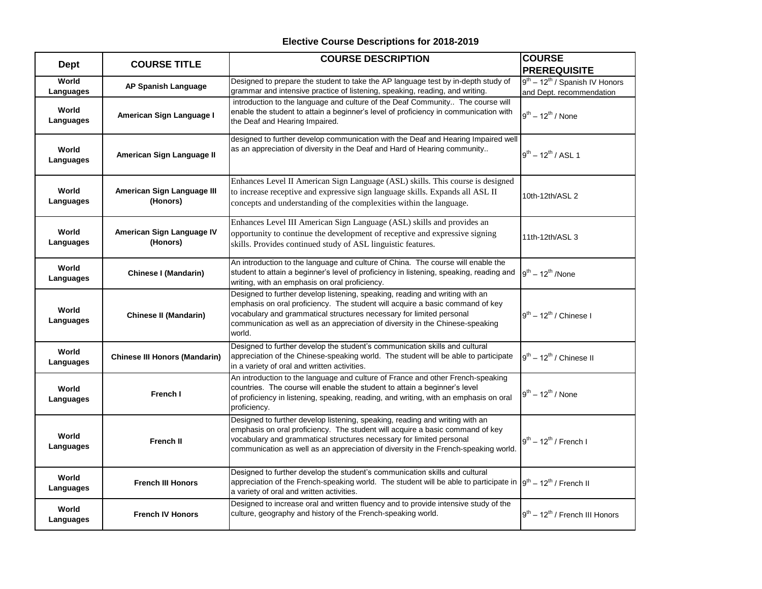| <b>Dept</b>        | <b>COURSE TITLE</b>                    | <b>COURSE DESCRIPTION</b>                                                                                                                                                                                                                                                                                                        | <b>COURSE</b><br><b>PREREQUISITE</b>                               |
|--------------------|----------------------------------------|----------------------------------------------------------------------------------------------------------------------------------------------------------------------------------------------------------------------------------------------------------------------------------------------------------------------------------|--------------------------------------------------------------------|
| World<br>Languages | AP Spanish Language                    | Designed to prepare the student to take the AP language test by in-depth study of<br>grammar and intensive practice of listening, speaking, reading, and writing.                                                                                                                                                                | $9^{th} - 12^{th}$ / Spanish IV Honors<br>and Dept. recommendation |
| World<br>Languages | American Sign Language I               | introduction to the language and culture of the Deaf Community The course will<br>enable the student to attain a beginner's level of proficiency in communication with<br>the Deaf and Hearing Impaired.                                                                                                                         | $9^{th}$ – 12 <sup>th</sup> / None                                 |
| World<br>Languages | American Sign Language II              | designed to further develop communication with the Deaf and Hearing Impaired well<br>as an appreciation of diversity in the Deaf and Hard of Hearing community                                                                                                                                                                   | $9^{th} - 12^{th}$ / ASL 1                                         |
| World<br>Languages | American Sign Language III<br>(Honors) | Enhances Level II American Sign Language (ASL) skills. This course is designed<br>to increase receptive and expressive sign language skills. Expands all ASL II<br>concepts and understanding of the complexities within the language.                                                                                           | 10th-12th/ASL 2                                                    |
| World<br>Languages | American Sign Language IV<br>(Honors)  | Enhances Level III American Sign Language (ASL) skills and provides an<br>opportunity to continue the development of receptive and expressive signing<br>skills. Provides continued study of ASL linguistic features.                                                                                                            | 11th-12th/ASL 3                                                    |
| World<br>Languages | <b>Chinese I (Mandarin)</b>            | An introduction to the language and culture of China. The course will enable the<br>student to attain a beginner's level of proficiency in listening, speaking, reading and<br>writing, with an emphasis on oral proficiency.                                                                                                    | $9^{th} - 12^{th}$ /None                                           |
| World<br>Languages | <b>Chinese II (Mandarin)</b>           | Designed to further develop listening, speaking, reading and writing with an<br>emphasis on oral proficiency. The student will acquire a basic command of key<br>vocabulary and grammatical structures necessary for limited personal<br>communication as well as an appreciation of diversity in the Chinese-speaking<br>world. | $9^{th}$ – 12 <sup>th</sup> / Chinese I                            |
| World<br>Languages | <b>Chinese III Honors (Mandarin)</b>   | Designed to further develop the student's communication skills and cultural<br>appreciation of the Chinese-speaking world. The student will be able to participate<br>in a variety of oral and written activities.                                                                                                               | $9^{th}$ – 12 <sup>th</sup> / Chinese II                           |
| World<br>Languages | French I                               | An introduction to the language and culture of France and other French-speaking<br>countries. The course will enable the student to attain a beginner's level<br>of proficiency in listening, speaking, reading, and writing, with an emphasis on oral<br>proficiency.                                                           | $9^{th}$ – 12 <sup>th</sup> / None                                 |
| World<br>Languages | <b>French II</b>                       | Designed to further develop listening, speaking, reading and writing with an<br>emphasis on oral proficiency. The student will acquire a basic command of key<br>vocabulary and grammatical structures necessary for limited personal<br>communication as well as an appreciation of diversity in the French-speaking world.     | $9^{th}$ – 12 <sup>th</sup> / French I                             |
| World<br>Languages | <b>French III Honors</b>               | Designed to further develop the student's communication skills and cultural<br>appreciation of the French-speaking world. The student will be able to participate in $g^{th} - 12^{th}$ / French II<br>a variety of oral and written activities.                                                                                 |                                                                    |
| World<br>Languages | <b>French IV Honors</b>                | Designed to increase oral and written fluency and to provide intensive study of the<br>culture, geography and history of the French-speaking world.                                                                                                                                                                              | $9th - 12th$ / French III Honors                                   |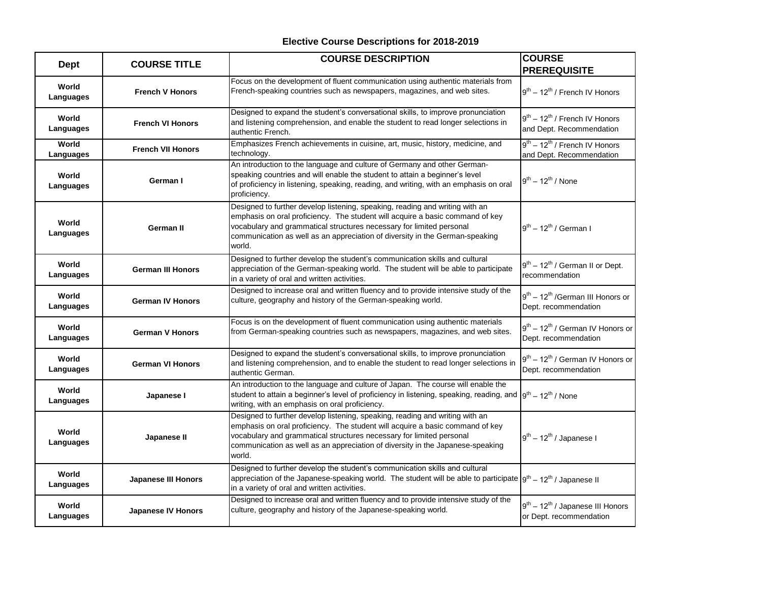| <b>Dept</b>        | <b>COURSE TITLE</b>       | <b>COURSE DESCRIPTION</b>                                                                                                                                                                                                                                                                                                         | <b>COURSE</b><br><b>PREREQUISITE</b>                                             |
|--------------------|---------------------------|-----------------------------------------------------------------------------------------------------------------------------------------------------------------------------------------------------------------------------------------------------------------------------------------------------------------------------------|----------------------------------------------------------------------------------|
| World<br>Languages | <b>French V Honors</b>    | Focus on the development of fluent communication using authentic materials from<br>French-speaking countries such as newspapers, magazines, and web sites.                                                                                                                                                                        | $9th - 12th$ / French IV Honors                                                  |
| World<br>Languages | <b>French VI Honors</b>   | Designed to expand the student's conversational skills, to improve pronunciation<br>and listening comprehension, and enable the student to read longer selections in<br>authentic French.                                                                                                                                         | $9^{th}$ – 12 <sup>th</sup> / French IV Honors<br>and Dept. Recommendation       |
| World<br>Languages | <b>French VII Honors</b>  | Emphasizes French achievements in cuisine, art, music, history, medicine, and<br>technology.                                                                                                                                                                                                                                      | $9th - 12th$ / French IV Honors<br>and Dept. Recommendation                      |
| World<br>Languages | German I                  | An introduction to the language and culture of Germany and other German-<br>speaking countries and will enable the student to attain a beginner's level<br>of proficiency in listening, speaking, reading, and writing, with an emphasis on oral<br>proficiency.                                                                  | $9^{th}$ – 12 <sup>th</sup> / None                                               |
| World<br>Languages | German II                 | Designed to further develop listening, speaking, reading and writing with an<br>emphasis on oral proficiency. The student will acquire a basic command of key<br>vocabulary and grammatical structures necessary for limited personal<br>communication as well as an appreciation of diversity in the German-speaking<br>world.   | $19^{th}$ – 12 <sup>th</sup> / German I                                          |
| World<br>Languages | <b>German III Honors</b>  | Designed to further develop the student's communication skills and cultural<br>appreciation of the German-speaking world. The student will be able to participate<br>in a variety of oral and written activities.                                                                                                                 | $9^{th}$ – 12 <sup>th</sup> / German II or Dept.<br>recommendation               |
| World<br>Languages | <b>German IV Honors</b>   | Designed to increase oral and written fluency and to provide intensive study of the<br>culture, geography and history of the German-speaking world.                                                                                                                                                                               | $9th - 12th$ /German III Honors or<br>Dept. recommendation                       |
| World<br>Languages | <b>German V Honors</b>    | Focus is on the development of fluent communication using authentic materials<br>from German-speaking countries such as newspapers, magazines, and web sites.                                                                                                                                                                     | 9 <sup>th</sup> - 12 <sup>th</sup> / German IV Honors or<br>Dept. recommendation |
| World<br>Languages | <b>German VI Honors</b>   | Designed to expand the student's conversational skills, to improve pronunciation<br>and listening comprehension, and to enable the student to read longer selections in<br>authentic German.                                                                                                                                      | $9^{th}$ – 12 <sup>th</sup> / German IV Honors or<br>Dept. recommendation        |
| World<br>Languages | Japanese I                | An introduction to the language and culture of Japan. The course will enable the<br>student to attain a beginner's level of proficiency in listening, speaking, reading, and $g^{th} = 12^{th}$ / None<br>writing, with an emphasis on oral proficiency.                                                                          |                                                                                  |
| World<br>Languages | Japanese II               | Designed to further develop listening, speaking, reading and writing with an<br>emphasis on oral proficiency. The student will acquire a basic command of key<br>vocabulary and grammatical structures necessary for limited personal<br>communication as well as an appreciation of diversity in the Japanese-speaking<br>world. | $9^{th}$ – 12 <sup>th</sup> / Japanese I                                         |
| World<br>Languages | Japanese III Honors       | Designed to further develop the student's communication skills and cultural<br>appreciation of the Japanese-speaking world. The student will be able to participate $g^{th}$ – 12 <sup>th</sup> / Japanese II<br>in a variety of oral and written activities.                                                                     |                                                                                  |
| World<br>Languages | <b>Japanese IV Honors</b> | Designed to increase oral and written fluency and to provide intensive study of the<br>culture, geography and history of the Japanese-speaking world.                                                                                                                                                                             | $9^{th}$ – 12 <sup>th</sup> / Japanese III Honors<br>or Dept. recommendation     |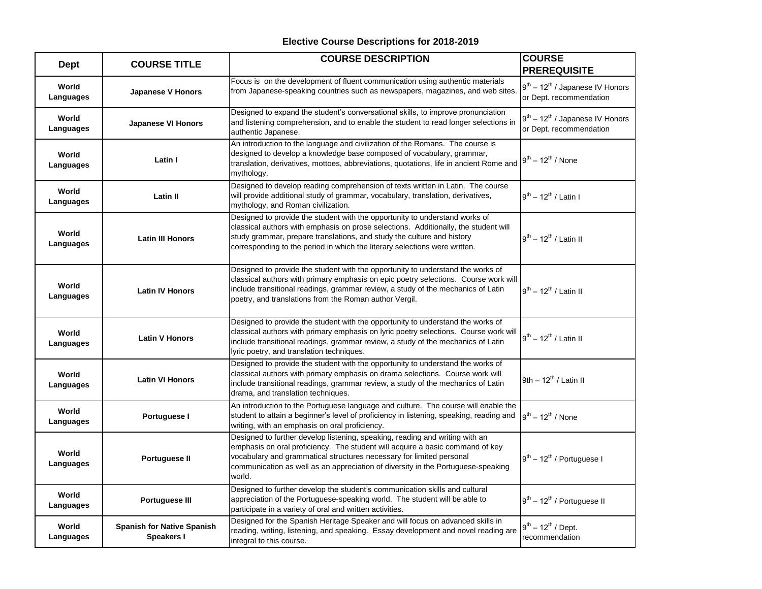| <b>Dept</b>        | <b>COURSE TITLE</b>                             | <b>COURSE DESCRIPTION</b>                                                                                                                                                                                                                                                                                                           | <b>COURSE</b><br><b>PREREQUISITE</b>                               |
|--------------------|-------------------------------------------------|-------------------------------------------------------------------------------------------------------------------------------------------------------------------------------------------------------------------------------------------------------------------------------------------------------------------------------------|--------------------------------------------------------------------|
| World<br>Languages | <b>Japanese V Honors</b>                        | Focus is on the development of fluent communication using authentic materials<br>from Japanese-speaking countries such as newspapers, magazines, and web sites.                                                                                                                                                                     | $9^{th} - 12^{th}$ / Japanese IV Honors<br>or Dept. recommendation |
| World<br>Languages | <b>Japanese VI Honors</b>                       | Designed to expand the student's conversational skills, to improve pronunciation<br>and listening comprehension, and to enable the student to read longer selections in<br>authentic Japanese.                                                                                                                                      | $9^{th} - 12^{th}$ / Japanese IV Honors<br>or Dept. recommendation |
| World<br>Languages | Latin I                                         | An introduction to the language and civilization of the Romans. The course is<br>designed to develop a knowledge base composed of vocabulary, grammar,<br>translation, derivatives, mottoes, abbreviations, quotations, life in ancient Rome and<br>mythology.                                                                      | $9^{th}$ – 12 <sup>th</sup> / None                                 |
| World<br>Languages | <b>Latin II</b>                                 | Designed to develop reading comprehension of texts written in Latin. The course<br>will provide additional study of grammar, vocabulary, translation, derivatives,<br>mythology, and Roman civilization.                                                                                                                            | $9^{th}$ – 12 <sup>th</sup> / Latin I                              |
| World<br>Languages | <b>Latin III Honors</b>                         | Designed to provide the student with the opportunity to understand works of<br>classical authors with emphasis on prose selections. Additionally, the student will<br>study grammar, prepare translations, and study the culture and history<br>corresponding to the period in which the literary selections were written.          | $9^{th}$ – 12 <sup>th</sup> / Latin II                             |
| World<br>Languages | <b>Latin IV Honors</b>                          | Designed to provide the student with the opportunity to understand the works of<br>classical authors with primary emphasis on epic poetry selections. Course work will<br>include transitional readings, grammar review, a study of the mechanics of Latin<br>poetry, and translations from the Roman author Vergil.                | $9^{th}$ – 12 <sup>th</sup> / Latin II                             |
| World<br>Languages | <b>Latin V Honors</b>                           | Designed to provide the student with the opportunity to understand the works of<br>classical authors with primary emphasis on lyric poetry selections. Course work will<br>include transitional readings, grammar review, a study of the mechanics of Latin<br>lyric poetry, and translation techniques.                            | $9^{th}$ – 12 <sup>th</sup> / Latin II                             |
| World<br>Languages | <b>Latin VI Honors</b>                          | Designed to provide the student with the opportunity to understand the works of<br>classical authors with primary emphasis on drama selections. Course work will<br>include transitional readings, grammar review, a study of the mechanics of Latin<br>drama, and translation techniques.                                          | 9th $-12^{th}$ / Latin II                                          |
| World<br>Languages | Portuguese I                                    | An introduction to the Portuguese language and culture. The course will enable the<br>student to attain a beginner's level of proficiency in listening, speaking, reading and<br>writing, with an emphasis on oral proficiency.                                                                                                     | $19^{th} - 12^{th}$ / None                                         |
| World<br>Languages | Portuguese II                                   | Designed to further develop listening, speaking, reading and writing with an<br>emphasis on oral proficiency. The student will acquire a basic command of key<br>vocabulary and grammatical structures necessary for limited personal<br>communication as well as an appreciation of diversity in the Portuguese-speaking<br>world. | $9^{th}$ – 12 <sup>th</sup> / Portuguese I                         |
| World<br>Languages | Portuguese III                                  | Designed to further develop the student's communication skills and cultural<br>appreciation of the Portuguese-speaking world. The student will be able to<br>participate in a variety of oral and written activities.                                                                                                               | $9^{th}$ – 12 <sup>th</sup> / Portuguese II                        |
| World<br>Languages | <b>Spanish for Native Spanish</b><br>Speakers I | Designed for the Spanish Heritage Speaker and will focus on advanced skills in<br>reading, writing, listening, and speaking. Essay development and novel reading are<br>integral to this course.                                                                                                                                    | $9^{th} - 12^{th}$ / Dept.<br>recommendation                       |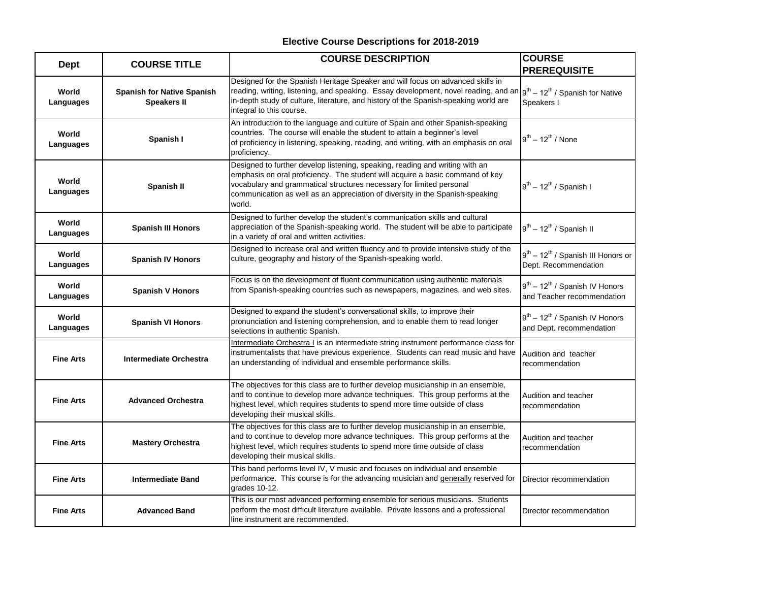| Dept               | <b>COURSE TITLE</b>                                     | <b>COURSE DESCRIPTION</b>                                                                                                                                                                                                                                                                                                                           | <b>COURSE</b><br><b>PREREQUISITE</b>                                        |
|--------------------|---------------------------------------------------------|-----------------------------------------------------------------------------------------------------------------------------------------------------------------------------------------------------------------------------------------------------------------------------------------------------------------------------------------------------|-----------------------------------------------------------------------------|
| World<br>Languages | <b>Spanish for Native Spanish</b><br><b>Speakers II</b> | Designed for the Spanish Heritage Speaker and will focus on advanced skills in<br>reading, writing, listening, and speaking. Essay development, novel reading, and an   g <sup>th</sup> - 12 <sup>th</sup> / Spanish for Native<br>in-depth study of culture, literature, and history of the Spanish-speaking world are<br>integral to this course. | Speakers I                                                                  |
| World<br>Languages | Spanish I                                               | An introduction to the language and culture of Spain and other Spanish-speaking<br>countries. The course will enable the student to attain a beginner's level<br>of proficiency in listening, speaking, reading, and writing, with an emphasis on oral<br>proficiency.                                                                              | $9^{th}$ – 12 <sup>th</sup> / None                                          |
| World<br>Languages | Spanish II                                              | Designed to further develop listening, speaking, reading and writing with an<br>emphasis on oral proficiency. The student will acquire a basic command of key<br>vocabulary and grammatical structures necessary for limited personal<br>communication as well as an appreciation of diversity in the Spanish-speaking<br>world.                    | $9^{th}$ – 12 <sup>th</sup> / Spanish I                                     |
| World<br>Languages | <b>Spanish III Honors</b>                               | Designed to further develop the student's communication skills and cultural<br>appreciation of the Spanish-speaking world. The student will be able to participate<br>in a variety of oral and written activities.                                                                                                                                  | $9^{th}$ – 12 <sup>th</sup> / Spanish II                                    |
| World<br>Languages | <b>Spanish IV Honors</b>                                | Designed to increase oral and written fluency and to provide intensive study of the<br>culture, geography and history of the Spanish-speaking world.                                                                                                                                                                                                | $9^{th}$ – 12 <sup>th</sup> / Spanish III Honors or<br>Dept. Recommendation |
| World<br>Languages | <b>Spanish V Honors</b>                                 | Focus is on the development of fluent communication using authentic materials<br>from Spanish-speaking countries such as newspapers, magazines, and web sites.                                                                                                                                                                                      | $9^{th} - 12^{th}$ / Spanish IV Honors<br>and Teacher recommendation        |
| World<br>Languages | <b>Spanish VI Honors</b>                                | Designed to expand the student's conversational skills, to improve their<br>pronunciation and listening comprehension, and to enable them to read longer<br>selections in authentic Spanish.                                                                                                                                                        | $9^{th} - 12^{th}$ / Spanish IV Honors<br>and Dept. recommendation          |
| <b>Fine Arts</b>   | <b>Intermediate Orchestra</b>                           | Intermediate Orchestra I is an intermediate string instrument performance class for<br>instrumentalists that have previous experience. Students can read music and have<br>an understanding of individual and ensemble performance skills.                                                                                                          | Audition and teacher<br>recommendation                                      |
| <b>Fine Arts</b>   | <b>Advanced Orchestra</b>                               | The objectives for this class are to further develop musicianship in an ensemble,<br>and to continue to develop more advance techniques. This group performs at the<br>highest level, which requires students to spend more time outside of class<br>developing their musical skills.                                                               | Audition and teacher<br>recommendation                                      |
| <b>Fine Arts</b>   | <b>Mastery Orchestra</b>                                | The objectives for this class are to further develop musicianship in an ensemble,<br>and to continue to develop more advance techniques. This group performs at the<br>highest level, which requires students to spend more time outside of class<br>developing their musical skills.                                                               | Audition and teacher<br>recommendation                                      |
| <b>Fine Arts</b>   | <b>Intermediate Band</b>                                | This band performs level IV, V music and focuses on individual and ensemble<br>performance. This course is for the advancing musician and generally reserved for<br>grades 10-12.                                                                                                                                                                   | Director recommendation                                                     |
| <b>Fine Arts</b>   | <b>Advanced Band</b>                                    | This is our most advanced performing ensemble for serious musicians. Students<br>perform the most difficult literature available. Private lessons and a professional<br>line instrument are recommended.                                                                                                                                            | Director recommendation                                                     |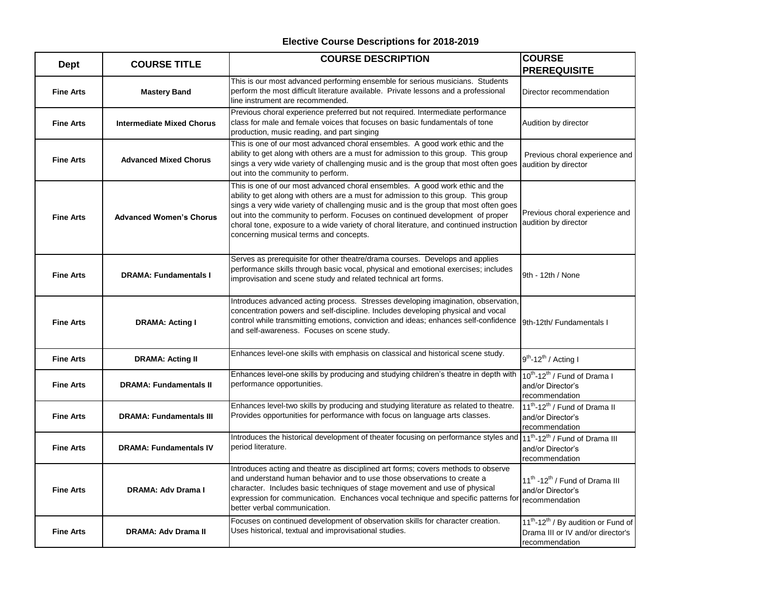| <b>Dept</b>      | <b>COURSE TITLE</b>              | <b>COURSE DESCRIPTION</b>                                                                                                                                                                                                                                                                                                                                                                                                                                                         | <b>COURSE</b>                                                                                                      |
|------------------|----------------------------------|-----------------------------------------------------------------------------------------------------------------------------------------------------------------------------------------------------------------------------------------------------------------------------------------------------------------------------------------------------------------------------------------------------------------------------------------------------------------------------------|--------------------------------------------------------------------------------------------------------------------|
|                  |                                  |                                                                                                                                                                                                                                                                                                                                                                                                                                                                                   | <b>PREREQUISITE</b>                                                                                                |
| <b>Fine Arts</b> | <b>Mastery Band</b>              | This is our most advanced performing ensemble for serious musicians. Students<br>perform the most difficult literature available. Private lessons and a professional<br>line instrument are recommended.                                                                                                                                                                                                                                                                          | Director recommendation                                                                                            |
| <b>Fine Arts</b> | <b>Intermediate Mixed Chorus</b> | Previous choral experience preferred but not required. Intermediate performance<br>class for male and female voices that focuses on basic fundamentals of tone<br>production, music reading, and part singing                                                                                                                                                                                                                                                                     | Audition by director                                                                                               |
| <b>Fine Arts</b> | <b>Advanced Mixed Chorus</b>     | This is one of our most advanced choral ensembles. A good work ethic and the<br>ability to get along with others are a must for admission to this group. This group<br>sings a very wide variety of challenging music and is the group that most often goes<br>out into the community to perform.                                                                                                                                                                                 | Previous choral experience and<br>audition by director                                                             |
| <b>Fine Arts</b> | <b>Advanced Women's Chorus</b>   | This is one of our most advanced choral ensembles. A good work ethic and the<br>ability to get along with others are a must for admission to this group. This group<br>sings a very wide variety of challenging music and is the group that most often goes<br>out into the community to perform. Focuses on continued development of proper<br>choral tone, exposure to a wide variety of choral literature, and continued instruction<br>concerning musical terms and concepts. | Previous choral experience and<br>audition by director                                                             |
| <b>Fine Arts</b> | <b>DRAMA: Fundamentals I</b>     | Serves as prerequisite for other theatre/drama courses. Develops and applies<br>performance skills through basic vocal, physical and emotional exercises; includes<br>improvisation and scene study and related technical art forms.                                                                                                                                                                                                                                              | 9th - 12th / None                                                                                                  |
| <b>Fine Arts</b> | <b>DRAMA: Acting I</b>           | Introduces advanced acting process. Stresses developing imagination, observation,<br>concentration powers and self-discipline. Includes developing physical and vocal<br>control while transmitting emotions, conviction and ideas; enhances self-confidence<br>and self-awareness. Focuses on scene study.                                                                                                                                                                       | 9th-12th/ Fundamentals I                                                                                           |
| <b>Fine Arts</b> | <b>DRAMA: Acting II</b>          | Enhances level-one skills with emphasis on classical and historical scene study.                                                                                                                                                                                                                                                                                                                                                                                                  | $9^{th}$ -12 <sup>th</sup> / Acting I                                                                              |
| <b>Fine Arts</b> | <b>DRAMA: Fundamentals II</b>    | Enhances level-one skills by producing and studying children's theatre in depth with<br>performance opportunities.                                                                                                                                                                                                                                                                                                                                                                | 10 <sup>th</sup> -12 <sup>th</sup> / Fund of Drama I<br>and/or Director's<br>recommendation                        |
| <b>Fine Arts</b> | <b>DRAMA: Fundamentals III</b>   | Enhances level-two skills by producing and studying literature as related to theatre.<br>Provides opportunities for performance with focus on language arts classes.                                                                                                                                                                                                                                                                                                              | 11 <sup>th</sup> -12 <sup>th</sup> / Fund of Drama II<br>and/or Director's<br>recommendation                       |
| <b>Fine Arts</b> | <b>DRAMA: Fundamentals IV</b>    | Introduces the historical development of theater focusing on performance styles and<br>period literature.                                                                                                                                                                                                                                                                                                                                                                         | 11 <sup>th</sup> -12 <sup>th</sup> / Fund of Drama III<br>and/or Director's<br>recommendation                      |
| <b>Fine Arts</b> | DRAMA: Adv Drama I               | Introduces acting and theatre as disciplined art forms; covers methods to observe<br>and understand human behavior and to use those observations to create a<br>character. Includes basic techniques of stage movement and use of physical<br>expression for communication. Enchances vocal technique and specific patterns for<br>better verbal communication.                                                                                                                   | 11 <sup>th</sup> -12 <sup>th</sup> / Fund of Drama III<br>and/or Director's<br>recommendation                      |
| <b>Fine Arts</b> | <b>DRAMA: Adv Drama II</b>       | Focuses on continued development of observation skills for character creation.<br>Uses historical, textual and improvisational studies.                                                                                                                                                                                                                                                                                                                                           | 11 <sup>th</sup> -12 <sup>th</sup> / By audition or Fund of<br>Drama III or IV and/or director's<br>recommendation |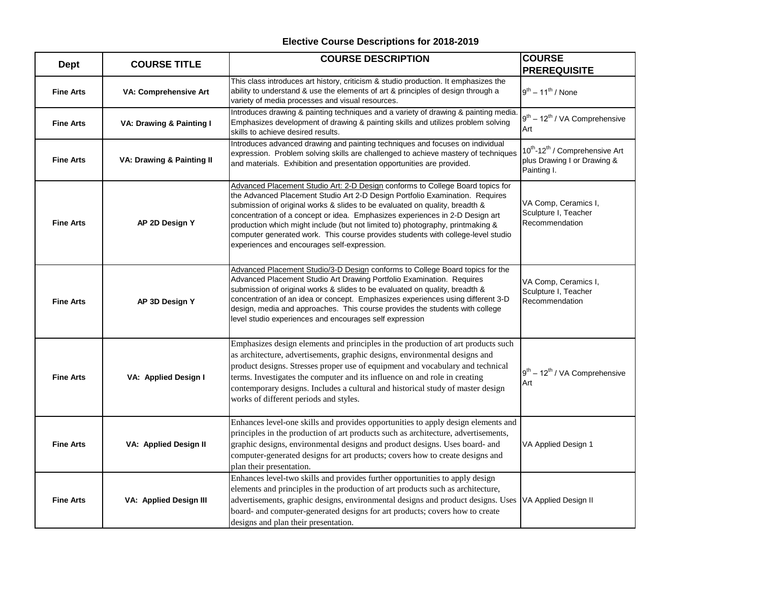| <b>Dept</b>      | <b>COURSE TITLE</b>                  | <b>COURSE DESCRIPTION</b>                                                                                                                                                                                                                                                                                                                                                                                                                                                                                                                          | <b>COURSE</b><br><b>PREREQUISITE</b>                                                                 |
|------------------|--------------------------------------|----------------------------------------------------------------------------------------------------------------------------------------------------------------------------------------------------------------------------------------------------------------------------------------------------------------------------------------------------------------------------------------------------------------------------------------------------------------------------------------------------------------------------------------------------|------------------------------------------------------------------------------------------------------|
| <b>Fine Arts</b> | VA: Comprehensive Art                | This class introduces art history, criticism & studio production. It emphasizes the<br>ability to understand & use the elements of art & principles of design through a<br>variety of media processes and visual resources.                                                                                                                                                                                                                                                                                                                        | $9^{th} - 11^{th}$ / None                                                                            |
| <b>Fine Arts</b> | VA: Drawing & Painting I             | Introduces drawing & painting techniques and a variety of drawing & painting media.<br>Emphasizes development of drawing & painting skills and utilizes problem solving<br>skills to achieve desired results.                                                                                                                                                                                                                                                                                                                                      | $9^{th}$ – 12 <sup>th</sup> / VA Comprehensive<br>Art                                                |
| <b>Fine Arts</b> | <b>VA: Drawing &amp; Painting II</b> | Introduces advanced drawing and painting techniques and focuses on individual<br>expression. Problem solving skills are challenged to achieve mastery of techniques<br>and materials. Exhibition and presentation opportunities are provided.                                                                                                                                                                                                                                                                                                      | 10 <sup>th</sup> -12 <sup>th</sup> / Comprehensive Art<br>plus Drawing I or Drawing &<br>Painting I. |
| <b>Fine Arts</b> | AP 2D Design Y                       | Advanced Placement Studio Art: 2-D Design conforms to College Board topics for<br>the Advanced Placement Studio Art 2-D Design Portfolio Examination. Requires<br>submission of original works & slides to be evaluated on quality, breadth &<br>concentration of a concept or idea. Emphasizes experiences in 2-D Design art<br>production which might include (but not limited to) photography, printmaking &<br>computer generated work. This course provides students with college-level studio<br>experiences and encourages self-expression. | VA Comp, Ceramics I,<br>Sculpture I, Teacher<br>Recommendation                                       |
| <b>Fine Arts</b> | AP 3D Design Y                       | Advanced Placement Studio/3-D Design conforms to College Board topics for the<br>Advanced Placement Studio Art Drawing Portfolio Examination. Requires<br>submission of original works & slides to be evaluated on quality, breadth &<br>concentration of an idea or concept. Emphasizes experiences using different 3-D<br>design, media and approaches. This course provides the students with college<br>level studio experiences and encourages self expression                                                                                | VA Comp, Ceramics I,<br>Sculpture I, Teacher<br>Recommendation                                       |
| <b>Fine Arts</b> | VA: Applied Design I                 | Emphasizes design elements and principles in the production of art products such<br>as architecture, advertisements, graphic designs, environmental designs and<br>product designs. Stresses proper use of equipment and vocabulary and technical<br>terms. Investigates the computer and its influence on and role in creating<br>contemporary designs. Includes a cultural and historical study of master design<br>works of different periods and styles.                                                                                       | $9^{th}$ – 12 <sup>th</sup> / VA Comprehensive<br>Art                                                |
| <b>Fine Arts</b> | <b>VA: Applied Design II</b>         | Enhances level-one skills and provides opportunities to apply design elements and<br>principles in the production of art products such as architecture, advertisements,<br>graphic designs, environmental designs and product designs. Uses board- and<br>computer-generated designs for art products; covers how to create designs and<br>plan their presentation.                                                                                                                                                                                | VA Applied Design 1                                                                                  |
| <b>Fine Arts</b> | VA: Applied Design III               | Enhances level-two skills and provides further opportunities to apply design<br>elements and principles in the production of art products such as architecture,<br>advertisements, graphic designs, environmental designs and product designs. Uses<br>board- and computer-generated designs for art products; covers how to create<br>designs and plan their presentation.                                                                                                                                                                        | VA Applied Design II                                                                                 |